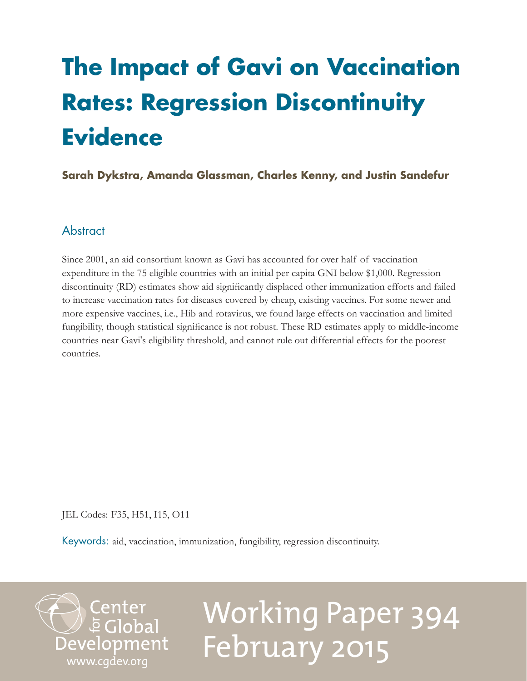## <span id="page-0-0"></span>**The Impact of Gavi on Vaccination Rates: Regression Discontinuity Evidence**

### **Sarah Dykstra, Amanda Glassman, Charles Kenny, and Justin Sandefur**

## Abstract

Since 2001, an aid consortium known as Gavi has accounted for over half of vaccination expenditure in the 75 eligible countries with an initial per capita GNI below \$1,000. Regression discontinuity (RD) estimates show aid significantly displaced other immunization efforts and failed to increase vaccination rates for diseases covered by cheap, existing vaccines. For some newer and more expensive vaccines, i.e., Hib and rotavirus, we found large effects on vaccination and limited fungibility, though statistical significance is not robust. These RD estimates apply to middle-income countries near Gavi's eligibility threshold, and cannot rule out differential effects for the poorest countries.

JEL Codes: F35, H51, I15, O11

Keywords: aid, vaccination, immunization, fungibility, regression discontinuity.

Center<br>Development<br>www.cgdev.org

# Working Paper 394 February 2015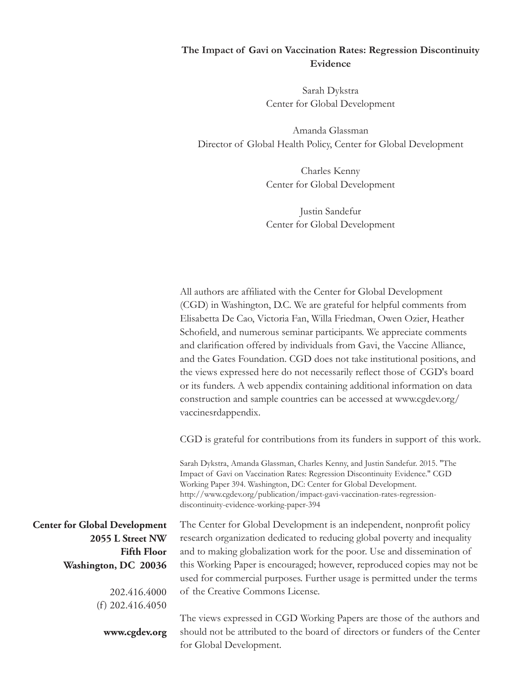#### **The Impact of Gavi on Vaccination Rates: Regression Discontinuity Evidence**

Sarah Dykstra Center for Global Development

Amanda Glassman Director of Global Health Policy, Center for Global Development

> Charles Kenny Center for Global Development

> Justin Sandefur Center for Global Development

All authors are affiliated with the Center for Global Development (CGD) in Washington, D.C. We are grateful for helpful comments from Elisabetta De Cao, Victoria Fan, Willa Friedman, Owen Ozier, Heather Schofield, and numerous seminar participants. We appreciate comments and clarification offered by individuals from Gavi, the Vaccine Alliance, and the Gates Foundation. CGD does not take institutional positions, and the views expressed here do not necessarily reflect those of CGD's board or its funders. A web appendix containing additional information on data construction and sample countries can be accessed at www.cgdev.org/ vaccinesrdappendix.

CGD is grateful for contributions from its funders in support of this work.

Sarah Dykstra, Amanda Glassman, Charles Kenny, and Justin Sandefur. 2015. "The Impact of Gavi on Vaccination Rates: Regression Discontinuity Evidence." CGD Working Paper 394. Washington, DC: Center for Global Development. http://www.cgdev.org/publication/impact-gavi-vaccination-rates-regressiondiscontinuity-evidence-working-paper-394

The Center for Global Development is an independent, nonprofit policy research organization dedicated to reducing global poverty and inequality and to making globalization work for the poor. Use and dissemination of this Working Paper is encouraged; however, reproduced copies may not be used for commercial purposes. Further usage is permitted under the terms of the Creative Commons License.

The views expressed in CGD Working Papers are those of the authors and should not be attributed to the board of directors or funders of the Center for Global Development.

**Center for Global Development 2055 L Street NW Fifth Floor Washington, DC 20036**

> 202.416.4000 (f) 202.416.4050

> > **www.cgdev.org**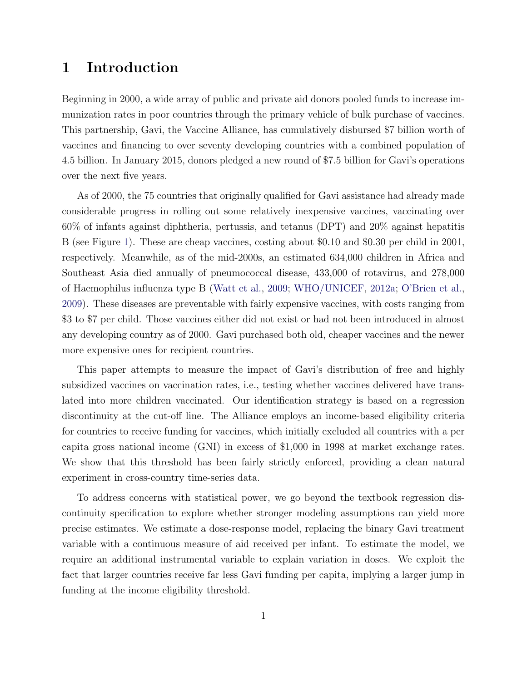## 1 Introduction

Beginning in 2000, a wide array of public and private aid donors pooled funds to increase immunization rates in poor countries through the primary vehicle of bulk purchase of vaccines. This partnership, Gavi, the Vaccine Alliance, has cumulatively disbursed \$7 billion worth of vaccines and financing to over seventy developing countries with a combined population of 4.5 billion. In January 2015, donors pledged a new round of \$7.5 billion for Gavi's operations over the next five years.

As of 2000, the 75 countries that originally qualified for Gavi assistance had already made considerable progress in rolling out some relatively inexpensive vaccines, vaccinating over 60% of infants against diphtheria, pertussis, and tetanus (DPT) and 20% against hepatitis B (see Figure [1\)](#page-33-0). These are cheap vaccines, costing about \$0.10 and \$0.30 per child in 2001, respectively. Meanwhile, as of the mid-2000s, an estimated 634,000 children in Africa and Southeast Asia died annually of pneumococcal disease, 433,000 of rotavirus, and 278,000 of Haemophilus influenza type B [\(Watt et al.,](#page-32-0) [2009;](#page-32-0) [WHO/UNICEF,](#page-32-1) [2012a;](#page-32-1) [O'Brien et al.,](#page-31-0) [2009\)](#page-31-0). These diseases are preventable with fairly expensive vaccines, with costs ranging from \$3 to \$7 per child. Those vaccines either did not exist or had not been introduced in almost any developing country as of 2000. Gavi purchased both old, cheaper vaccines and the newer more expensive ones for recipient countries.

This paper attempts to measure the impact of Gavi's distribution of free and highly subsidized vaccines on vaccination rates, i.e., testing whether vaccines delivered have translated into more children vaccinated. Our identification strategy is based on a regression discontinuity at the cut-off line. The Alliance employs an income-based eligibility criteria for countries to receive funding for vaccines, which initially excluded all countries with a per capita gross national income (GNI) in excess of \$1,000 in 1998 at market exchange rates. We show that this threshold has been fairly strictly enforced, providing a clean natural experiment in cross-country time-series data.

To address concerns with statistical power, we go beyond the textbook regression discontinuity specification to explore whether stronger modeling assumptions can yield more precise estimates. We estimate a dose-response model, replacing the binary Gavi treatment variable with a continuous measure of aid received per infant. To estimate the model, we require an additional instrumental variable to explain variation in doses. We exploit the fact that larger countries receive far less Gavi funding per capita, implying a larger jump in funding at the income eligibility threshold.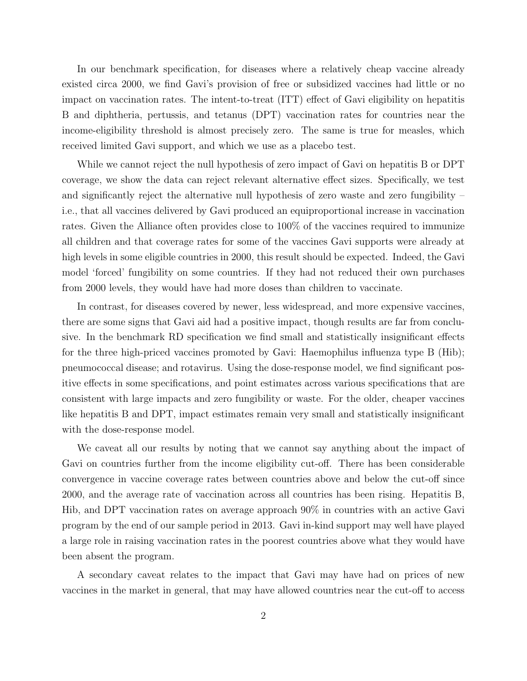In our benchmark specification, for diseases where a relatively cheap vaccine already existed circa 2000, we find Gavi's provision of free or subsidized vaccines had little or no impact on vaccination rates. The intent-to-treat (ITT) effect of Gavi eligibility on hepatitis B and diphtheria, pertussis, and tetanus (DPT) vaccination rates for countries near the income-eligibility threshold is almost precisely zero. The same is true for measles, which received limited Gavi support, and which we use as a placebo test.

While we cannot reject the null hypothesis of zero impact of Gavi on hepatitis B or DPT coverage, we show the data can reject relevant alternative effect sizes. Specifically, we test and significantly reject the alternative null hypothesis of zero waste and zero fungibility – i.e., that all vaccines delivered by Gavi produced an equiproportional increase in vaccination rates. Given the Alliance often provides close to 100% of the vaccines required to immunize all children and that coverage rates for some of the vaccines Gavi supports were already at high levels in some eligible countries in 2000, this result should be expected. Indeed, the Gavi model 'forced' fungibility on some countries. If they had not reduced their own purchases from 2000 levels, they would have had more doses than children to vaccinate.

In contrast, for diseases covered by newer, less widespread, and more expensive vaccines, there are some signs that Gavi aid had a positive impact, though results are far from conclusive. In the benchmark RD specification we find small and statistically insignificant effects for the three high-priced vaccines promoted by Gavi: Haemophilus influenza type B (Hib); pneumococcal disease; and rotavirus. Using the dose-response model, we find significant positive effects in some specifications, and point estimates across various specifications that are consistent with large impacts and zero fungibility or waste. For the older, cheaper vaccines like hepatitis B and DPT, impact estimates remain very small and statistically insignificant with the dose-response model.

We caveat all our results by noting that we cannot say anything about the impact of Gavi on countries further from the income eligibility cut-off. There has been considerable convergence in vaccine coverage rates between countries above and below the cut-off since 2000, and the average rate of vaccination across all countries has been rising. Hepatitis B, Hib, and DPT vaccination rates on average approach 90% in countries with an active Gavi program by the end of our sample period in 2013. Gavi in-kind support may well have played a large role in raising vaccination rates in the poorest countries above what they would have been absent the program.

A secondary caveat relates to the impact that Gavi may have had on prices of new vaccines in the market in general, that may have allowed countries near the cut-off to access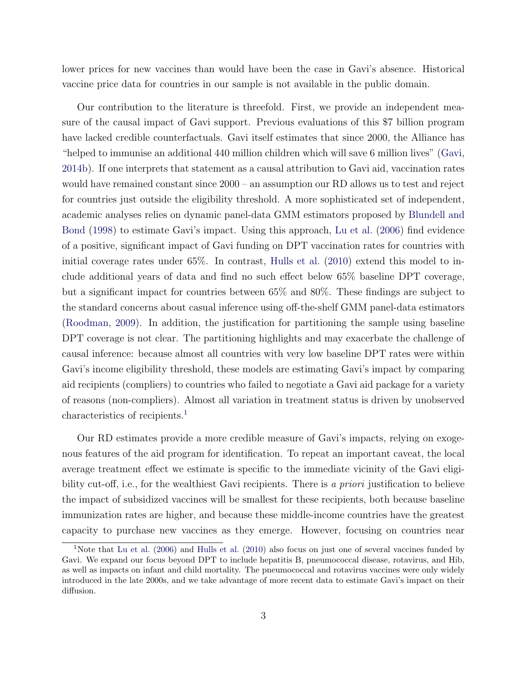lower prices for new vaccines than would have been the case in Gavi's absence. Historical vaccine price data for countries in our sample is not available in the public domain.

Our contribution to the literature is threefold. First, we provide an independent measure of the causal impact of Gavi support. Previous evaluations of this \$7 billion program have lacked credible counterfactuals. Gavi itself estimates that since 2000, the Alliance has "helped to immunise an additional 440 million children which will save 6 million lives" [\(Gavi,](#page-29-0) [2014b\)](#page-29-0). If one interprets that statement as a causal attribution to Gavi aid, vaccination rates would have remained constant since 2000 – an assumption our RD allows us to test and reject for countries just outside the eligibility threshold. A more sophisticated set of independent, academic analyses relies on dynamic panel-data GMM estimators proposed by [Blundell and](#page-28-0) [Bond](#page-28-0) [\(1998\)](#page-28-0) to estimate Gavi's impact. Using this approach, [Lu et al.](#page-30-0) [\(2006\)](#page-30-0) find evidence of a positive, significant impact of Gavi funding on DPT vaccination rates for countries with initial coverage rates under 65%. In contrast, [Hulls et al.](#page-30-1) [\(2010\)](#page-30-1) extend this model to include additional years of data and find no such effect below 65% baseline DPT coverage, but a significant impact for countries between 65% and 80%. These findings are subject to the standard concerns about casual inference using off-the-shelf GMM panel-data estimators [\(Roodman,](#page-31-1) [2009\)](#page-31-1). In addition, the justification for partitioning the sample using baseline DPT coverage is not clear. The partitioning highlights and may exacerbate the challenge of causal inference: because almost all countries with very low baseline DPT rates were within Gavi's income eligibility threshold, these models are estimating Gavi's impact by comparing aid recipients (compliers) to countries who failed to negotiate a Gavi aid package for a variety of reasons (non-compliers). Almost all variation in treatment status is driven by unobserved characteristics of recipients.[1](#page-4-0)

Our RD estimates provide a more credible measure of Gavi's impacts, relying on exogenous features of the aid program for identification. To repeat an important caveat, the local average treatment effect we estimate is specific to the immediate vicinity of the Gavi eligibility cut-off, i.e., for the wealthiest Gavi recipients. There is a priori justification to believe the impact of subsidized vaccines will be smallest for these recipients, both because baseline immunization rates are higher, and because these middle-income countries have the greatest capacity to purchase new vaccines as they emerge. However, focusing on countries near

<span id="page-4-0"></span><sup>&</sup>lt;sup>1</sup>Note that [Lu et al.](#page-30-0) [\(2006\)](#page-30-0) and [Hulls et al.](#page-30-1) [\(2010\)](#page-30-1) also focus on just one of several vaccines funded by Gavi. We expand our focus beyond DPT to include hepatitis B, pneumococcal disease, rotavirus, and Hib, as well as impacts on infant and child mortality. The pneumococcal and rotavirus vaccines were only widely introduced in the late 2000s, and we take advantage of more recent data to estimate Gavi's impact on their diffusion.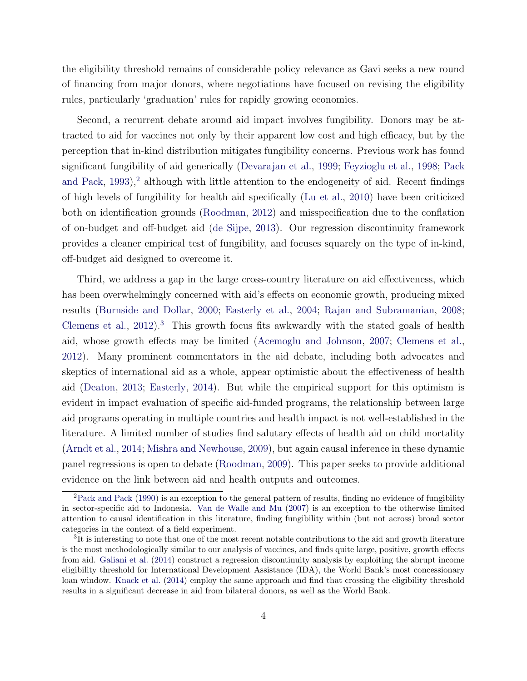the eligibility threshold remains of considerable policy relevance as Gavi seeks a new round of financing from major donors, where negotiations have focused on revising the eligibility rules, particularly 'graduation' rules for rapidly growing economies.

Second, a recurrent debate around aid impact involves fungibility. Donors may be attracted to aid for vaccines not only by their apparent low cost and high efficacy, but by the perception that in-kind distribution mitigates fungibility concerns. Previous work has found significant fungibility of aid generically [\(Devarajan et al.,](#page-29-1) [1999;](#page-29-1) [Feyzioglu et al.,](#page-29-2) [1998;](#page-29-2) [Pack](#page-31-2) [and Pack,](#page-31-2) [1993\)](#page-31-2),<sup>[2](#page-5-0)</sup> although with little attention to the endogeneity of aid. Recent findings of high levels of fungibility for health aid specifically [\(Lu et al.,](#page-30-2) [2010\)](#page-30-2) have been criticized both on identification grounds [\(Roodman,](#page-31-3) [2012\)](#page-31-3) and misspecification due to the conflation of on-budget and off-budget aid [\(de Sijpe,](#page-28-1) [2013\)](#page-28-1). Our regression discontinuity framework provides a cleaner empirical test of fungibility, and focuses squarely on the type of in-kind, off-budget aid designed to overcome it.

Third, we address a gap in the large cross-country literature on aid effectiveness, which has been overwhelmingly concerned with aid's effects on economic growth, producing mixed results [\(Burnside and Dollar,](#page-28-2) [2000;](#page-28-2) [Easterly et al.,](#page-29-3) [2004;](#page-29-3) [Rajan and Subramanian,](#page-31-4) [2008;](#page-31-4) [Clemens et al.,](#page-28-3)  $2012$ ).<sup>[3](#page-5-1)</sup> This growth focus fits awkwardly with the stated goals of health aid, whose growth effects may be limited [\(Acemoglu and Johnson,](#page-28-4) [2007;](#page-28-4) [Clemens et al.,](#page-28-3) [2012\)](#page-28-3). Many prominent commentators in the aid debate, including both advocates and skeptics of international aid as a whole, appear optimistic about the effectiveness of health aid [\(Deaton,](#page-29-4) [2013;](#page-29-4) [Easterly,](#page-29-5) [2014\)](#page-29-5). But while the empirical support for this optimism is evident in impact evaluation of specific aid-funded programs, the relationship between large aid programs operating in multiple countries and health impact is not well-established in the literature. A limited number of studies find salutary effects of health aid on child mortality [\(Arndt et al.,](#page-28-5) [2014;](#page-28-5) [Mishra and Newhouse,](#page-30-3) [2009\)](#page-30-3), but again causal inference in these dynamic panel regressions is open to debate [\(Roodman,](#page-31-1) [2009\)](#page-31-1). This paper seeks to provide additional evidence on the link between aid and health outputs and outcomes.

<span id="page-5-0"></span><sup>2</sup>[Pack and Pack](#page-31-5) [\(1990\)](#page-31-5) is an exception to the general pattern of results, finding no evidence of fungibility in sector-specific aid to Indonesia. [Van de Walle and Mu](#page-32-2) [\(2007\)](#page-32-2) is an exception to the otherwise limited attention to causal identification in this literature, finding fungibility within (but not across) broad sector categories in the context of a field experiment.

<span id="page-5-1"></span><sup>&</sup>lt;sup>3</sup>It is interesting to note that one of the most recent notable contributions to the aid and growth literature is the most methodologically similar to our analysis of vaccines, and finds quite large, positive, growth effects from aid. [Galiani et al.](#page-29-6) [\(2014\)](#page-29-6) construct a regression discontinuity analysis by exploiting the abrupt income eligibility threshold for International Development Assistance (IDA), the World Bank's most concessionary loan window. [Knack et al.](#page-30-4) [\(2014\)](#page-30-4) employ the same approach and find that crossing the eligibility threshold results in a significant decrease in aid from bilateral donors, as well as the World Bank.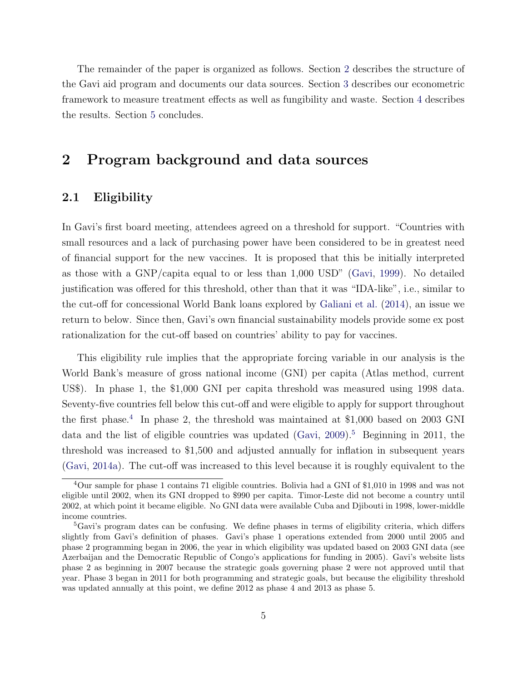The remainder of the paper is organized as follows. Section [2](#page-6-0) describes the structure of the Gavi aid program and documents our data sources. Section [3](#page-11-0) describes our econometric framework to measure treatment effects as well as fungibility and waste. Section [4](#page-16-0) describes the results. Section [5](#page-25-0) concludes.

## <span id="page-6-0"></span>2 Program background and data sources

#### 2.1 Eligibility

In Gavi's first board meeting, attendees agreed on a threshold for support. "Countries with small resources and a lack of purchasing power have been considered to be in greatest need of financial support for the new vaccines. It is proposed that this be initially interpreted as those with a GNP/capita equal to or less than 1,000 USD" [\(Gavi,](#page-29-7) [1999\)](#page-29-7). No detailed justification was offered for this threshold, other than that it was "IDA-like", i.e., similar to the cut-off for concessional World Bank loans explored by [Galiani et al.](#page-29-6) [\(2014\)](#page-29-6), an issue we return to below. Since then, Gavi's own financial sustainability models provide some ex post rationalization for the cut-off based on countries' ability to pay for vaccines.

This eligibility rule implies that the appropriate forcing variable in our analysis is the World Bank's measure of gross national income (GNI) per capita (Atlas method, current US\$). In phase 1, the \$1,000 GNI per capita threshold was measured using 1998 data. Seventy-five countries fell below this cut-off and were eligible to apply for support throughout the first phase.<sup>[4](#page-6-1)</sup> In phase 2, the threshold was maintained at \$1,000 based on 2003 GNI data and the list of eligible countries was updated [\(Gavi,](#page-29-8)  $2009$ ).<sup>[5](#page-6-2)</sup> Beginning in 2011, the threshold was increased to \$1,500 and adjusted annually for inflation in subsequent years [\(Gavi,](#page-29-9) [2014a\)](#page-29-9). The cut-off was increased to this level because it is roughly equivalent to the

<span id="page-6-1"></span><sup>4</sup>Our sample for phase 1 contains 71 eligible countries. Bolivia had a GNI of \$1,010 in 1998 and was not eligible until 2002, when its GNI dropped to \$990 per capita. Timor-Leste did not become a country until 2002, at which point it became eligible. No GNI data were available Cuba and Djibouti in 1998, lower-middle income countries.

<span id="page-6-2"></span><sup>5</sup>Gavi's program dates can be confusing. We define phases in terms of eligibility criteria, which differs slightly from Gavi's definition of phases. Gavi's phase 1 operations extended from 2000 until 2005 and phase 2 programming began in 2006, the year in which eligibility was updated based on 2003 GNI data (see Azerbaijan and the Democratic Republic of Congo's applications for funding in 2005). Gavi's website lists phase 2 as beginning in 2007 because the strategic goals governing phase 2 were not approved until that year. Phase 3 began in 2011 for both programming and strategic goals, but because the eligibility threshold was updated annually at this point, we define 2012 as phase 4 and 2013 as phase 5.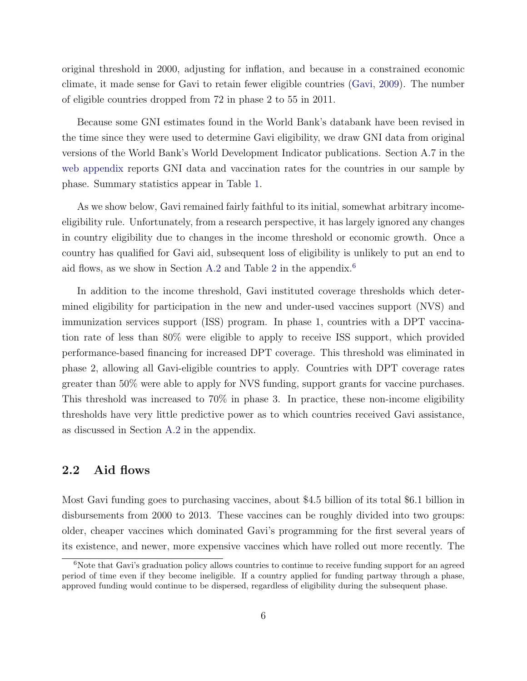original threshold in 2000, adjusting for inflation, and because in a constrained economic climate, it made sense for Gavi to retain fewer eligible countries [\(Gavi,](#page-29-8) [2009\)](#page-29-8). The number of eligible countries dropped from 72 in phase 2 to 55 in 2011.

Because some GNI estimates found in the World Bank's databank have been revised in the time since they were used to determine Gavi eligibility, we draw GNI data from original versions of the World Bank's World Development Indicator publications. Section A.7 in the [web appendix](#page-0-0) reports GNI data and vaccination rates for the countries in our sample by phase. Summary statistics appear in Table [1.](#page-40-0)

As we show below, Gavi remained fairly faithful to its initial, somewhat arbitrary incomeeligibility rule. Unfortunately, from a research perspective, it has largely ignored any changes in country eligibility due to changes in the income threshold or economic growth. Once a country has qualified for Gavi aid, subsequent loss of eligibility is unlikely to put an end to aid flows, as we show in Section [A.2](#page-0-0) and Table [2](#page-0-0) in the appendix.[6](#page-7-0)

In addition to the income threshold, Gavi instituted coverage thresholds which determined eligibility for participation in the new and under-used vaccines support (NVS) and immunization services support (ISS) program. In phase 1, countries with a DPT vaccination rate of less than 80% were eligible to apply to receive ISS support, which provided performance-based financing for increased DPT coverage. This threshold was eliminated in phase 2, allowing all Gavi-eligible countries to apply. Countries with DPT coverage rates greater than 50% were able to apply for NVS funding, support grants for vaccine purchases. This threshold was increased to 70% in phase 3. In practice, these non-income eligibility thresholds have very little predictive power as to which countries received Gavi assistance, as discussed in Section [A.2](#page-0-0) in the appendix.

#### <span id="page-7-1"></span>2.2 Aid flows

Most Gavi funding goes to purchasing vaccines, about \$4.5 billion of its total \$6.1 billion in disbursements from 2000 to 2013. These vaccines can be roughly divided into two groups: older, cheaper vaccines which dominated Gavi's programming for the first several years of its existence, and newer, more expensive vaccines which have rolled out more recently. The

<span id="page-7-0"></span><sup>&</sup>lt;sup>6</sup>Note that Gavi's graduation policy allows countries to continue to receive funding support for an agreed period of time even if they become ineligible. If a country applied for funding partway through a phase, approved funding would continue to be dispersed, regardless of eligibility during the subsequent phase.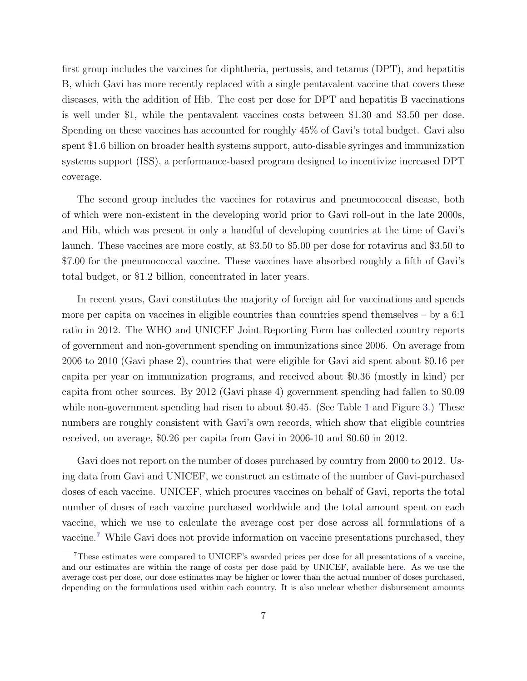first group includes the vaccines for diphtheria, pertussis, and tetanus (DPT), and hepatitis B, which Gavi has more recently replaced with a single pentavalent vaccine that covers these diseases, with the addition of Hib. The cost per dose for DPT and hepatitis B vaccinations is well under \$1, while the pentavalent vaccines costs between \$1.30 and \$3.50 per dose. Spending on these vaccines has accounted for roughly 45% of Gavi's total budget. Gavi also spent \$1.6 billion on broader health systems support, auto-disable syringes and immunization systems support (ISS), a performance-based program designed to incentivize increased DPT coverage.

The second group includes the vaccines for rotavirus and pneumococcal disease, both of which were non-existent in the developing world prior to Gavi roll-out in the late 2000s, and Hib, which was present in only a handful of developing countries at the time of Gavi's launch. These vaccines are more costly, at \$3.50 to \$5.00 per dose for rotavirus and \$3.50 to \$7.00 for the pneumococcal vaccine. These vaccines have absorbed roughly a fifth of Gavi's total budget, or \$1.2 billion, concentrated in later years.

In recent years, Gavi constitutes the majority of foreign aid for vaccinations and spends more per capita on vaccines in eligible countries than countries spend themselves  $-$  by a 6:1 ratio in 2012. The WHO and UNICEF Joint Reporting Form has collected country reports of government and non-government spending on immunizations since 2006. On average from 2006 to 2010 (Gavi phase 2), countries that were eligible for Gavi aid spent about \$0.16 per capita per year on immunization programs, and received about \$0.36 (mostly in kind) per capita from other sources. By 2012 (Gavi phase 4) government spending had fallen to \$0.09 while non-government spending had risen to about \$0.45. (See Table [1](#page-40-0) and Figure [3.](#page-34-0)) These numbers are roughly consistent with Gavi's own records, which show that eligible countries received, on average, \$0.26 per capita from Gavi in 2006-10 and \$0.60 in 2012.

Gavi does not report on the number of doses purchased by country from 2000 to 2012. Using data from Gavi and UNICEF, we construct an estimate of the number of Gavi-purchased doses of each vaccine. UNICEF, which procures vaccines on behalf of Gavi, reports the total number of doses of each vaccine purchased worldwide and the total amount spent on each vaccine, which we use to calculate the average cost per dose across all formulations of a vaccine.[7](#page-8-0) While Gavi does not provide information on vaccine presentations purchased, they

<span id="page-8-0"></span><sup>7</sup>These estimates were compared to UNICEF's awarded prices per dose for all presentations of a vaccine, and our estimates are within the range of costs per dose paid by UNICEF, available [here.](http://www.unicef.org/supply/index_57476.html) As we use the average cost per dose, our dose estimates may be higher or lower than the actual number of doses purchased, depending on the formulations used within each country. It is also unclear whether disbursement amounts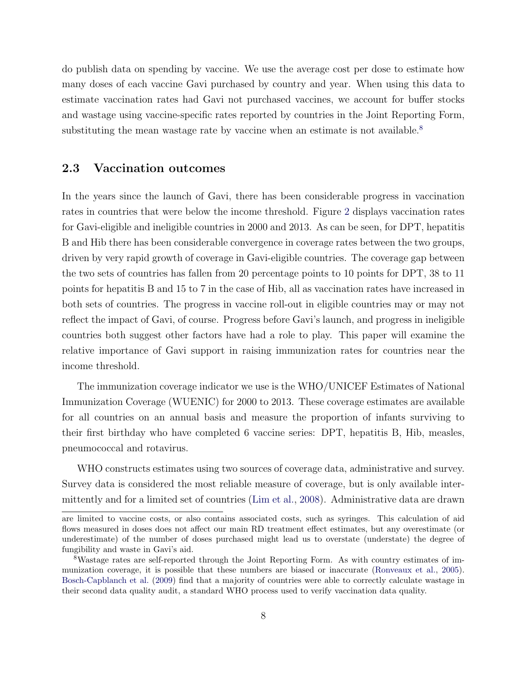do publish data on spending by vaccine. We use the average cost per dose to estimate how many doses of each vaccine Gavi purchased by country and year. When using this data to estimate vaccination rates had Gavi not purchased vaccines, we account for buffer stocks and wastage using vaccine-specific rates reported by countries in the Joint Reporting Form, substituting the mean wastage rate by vaccine when an estimate is not available.<sup>[8](#page-9-0)</sup>

#### 2.3 Vaccination outcomes

In the years since the launch of Gavi, there has been considerable progress in vaccination rates in countries that were below the income threshold. Figure [2](#page-34-1) displays vaccination rates for Gavi-eligible and ineligible countries in 2000 and 2013. As can be seen, for DPT, hepatitis B and Hib there has been considerable convergence in coverage rates between the two groups, driven by very rapid growth of coverage in Gavi-eligible countries. The coverage gap between the two sets of countries has fallen from 20 percentage points to 10 points for DPT, 38 to 11 points for hepatitis B and 15 to 7 in the case of Hib, all as vaccination rates have increased in both sets of countries. The progress in vaccine roll-out in eligible countries may or may not reflect the impact of Gavi, of course. Progress before Gavi's launch, and progress in ineligible countries both suggest other factors have had a role to play. This paper will examine the relative importance of Gavi support in raising immunization rates for countries near the income threshold.

The immunization coverage indicator we use is the WHO/UNICEF Estimates of National Immunization Coverage (WUENIC) for 2000 to 2013. These coverage estimates are available for all countries on an annual basis and measure the proportion of infants surviving to their first birthday who have completed 6 vaccine series: DPT, hepatitis B, Hib, measles, pneumococcal and rotavirus.

WHO constructs estimates using two sources of coverage data, administrative and survey. Survey data is considered the most reliable measure of coverage, but is only available intermittently and for a limited set of countries [\(Lim et al.,](#page-30-5) [2008\)](#page-30-5). Administrative data are drawn

are limited to vaccine costs, or also contains associated costs, such as syringes. This calculation of aid flows measured in doses does not affect our main RD treatment effect estimates, but any overestimate (or underestimate) of the number of doses purchased might lead us to overstate (understate) the degree of fungibility and waste in Gavi's aid.

<span id="page-9-0"></span><sup>8</sup>Wastage rates are self-reported through the Joint Reporting Form. As with country estimates of immunization coverage, it is possible that these numbers are biased or inaccurate [\(Ronveaux et al.,](#page-31-6) [2005\)](#page-31-6). [Bosch-Capblanch et al.](#page-28-6) [\(2009\)](#page-28-6) find that a majority of countries were able to correctly calculate wastage in their second data quality audit, a standard WHO process used to verify vaccination data quality.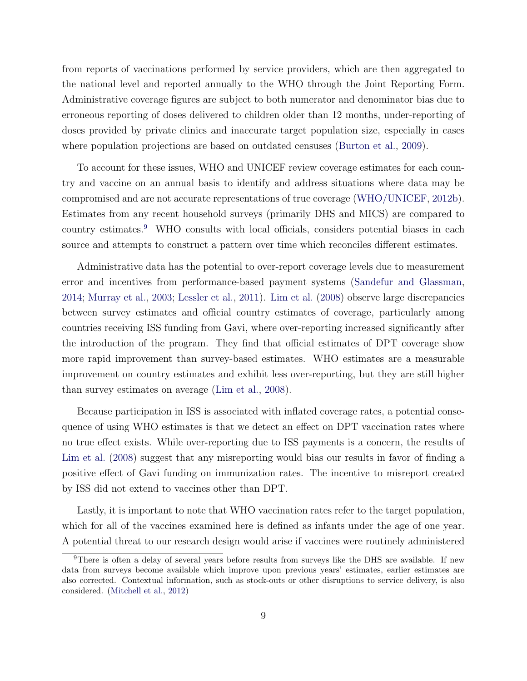from reports of vaccinations performed by service providers, which are then aggregated to the national level and reported annually to the WHO through the Joint Reporting Form. Administrative coverage figures are subject to both numerator and denominator bias due to erroneous reporting of doses delivered to children older than 12 months, under-reporting of doses provided by private clinics and inaccurate target population size, especially in cases where population projections are based on outdated censuses [\(Burton et al.,](#page-28-7) [2009\)](#page-28-7).

To account for these issues, WHO and UNICEF review coverage estimates for each country and vaccine on an annual basis to identify and address situations where data may be compromised and are not accurate representations of true coverage [\(WHO/UNICEF,](#page-32-3) [2012b\)](#page-32-3). Estimates from any recent household surveys (primarily DHS and MICS) are compared to country estimates.[9](#page-10-0) WHO consults with local officials, considers potential biases in each source and attempts to construct a pattern over time which reconciles different estimates.

Administrative data has the potential to over-report coverage levels due to measurement error and incentives from performance-based payment systems [\(Sandefur and Glassman,](#page-31-7) [2014;](#page-31-7) [Murray et al.,](#page-31-8) [2003;](#page-31-8) [Lessler et al.,](#page-30-6) [2011\)](#page-30-6). [Lim et al.](#page-30-5) [\(2008\)](#page-30-5) observe large discrepancies between survey estimates and official country estimates of coverage, particularly among countries receiving ISS funding from Gavi, where over-reporting increased significantly after the introduction of the program. They find that official estimates of DPT coverage show more rapid improvement than survey-based estimates. WHO estimates are a measurable improvement on country estimates and exhibit less over-reporting, but they are still higher than survey estimates on average [\(Lim et al.,](#page-30-5) [2008\)](#page-30-5).

Because participation in ISS is associated with inflated coverage rates, a potential consequence of using WHO estimates is that we detect an effect on DPT vaccination rates where no true effect exists. While over-reporting due to ISS payments is a concern, the results of [Lim et al.](#page-30-5) [\(2008\)](#page-30-5) suggest that any misreporting would bias our results in favor of finding a positive effect of Gavi funding on immunization rates. The incentive to misreport created by ISS did not extend to vaccines other than DPT.

Lastly, it is important to note that WHO vaccination rates refer to the target population, which for all of the vaccines examined here is defined as infants under the age of one year. A potential threat to our research design would arise if vaccines were routinely administered

<span id="page-10-0"></span><sup>&</sup>lt;sup>9</sup>There is often a delay of several years before results from surveys like the DHS are available. If new data from surveys become available which improve upon previous years' estimates, earlier estimates are also corrected. Contextual information, such as stock-outs or other disruptions to service delivery, is also considered. [\(Mitchell et al.,](#page-31-9) [2012\)](#page-31-9)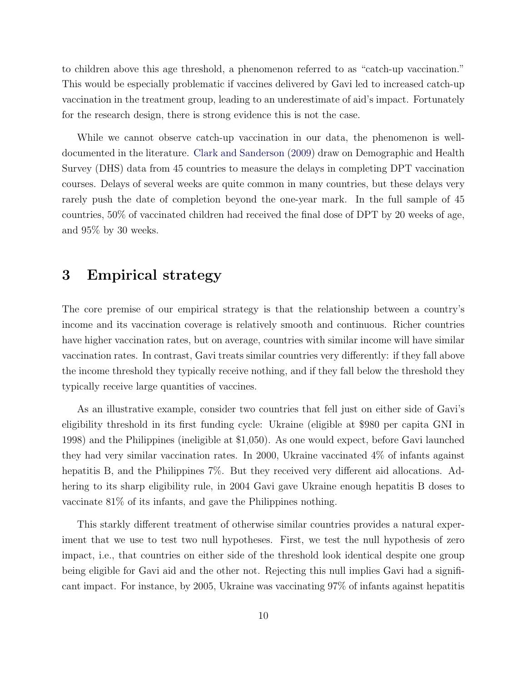to children above this age threshold, a phenomenon referred to as "catch-up vaccination." This would be especially problematic if vaccines delivered by Gavi led to increased catch-up vaccination in the treatment group, leading to an underestimate of aid's impact. Fortunately for the research design, there is strong evidence this is not the case.

While we cannot observe catch-up vaccination in our data, the phenomenon is welldocumented in the literature. [Clark and Sanderson](#page-28-8) [\(2009\)](#page-28-8) draw on Demographic and Health Survey (DHS) data from 45 countries to measure the delays in completing DPT vaccination courses. Delays of several weeks are quite common in many countries, but these delays very rarely push the date of completion beyond the one-year mark. In the full sample of 45 countries, 50% of vaccinated children had received the final dose of DPT by 20 weeks of age, and 95% by 30 weeks.

## <span id="page-11-0"></span>3 Empirical strategy

The core premise of our empirical strategy is that the relationship between a country's income and its vaccination coverage is relatively smooth and continuous. Richer countries have higher vaccination rates, but on average, countries with similar income will have similar vaccination rates. In contrast, Gavi treats similar countries very differently: if they fall above the income threshold they typically receive nothing, and if they fall below the threshold they typically receive large quantities of vaccines.

As an illustrative example, consider two countries that fell just on either side of Gavi's eligibility threshold in its first funding cycle: Ukraine (eligible at \$980 per capita GNI in 1998) and the Philippines (ineligible at \$1,050). As one would expect, before Gavi launched they had very similar vaccination rates. In 2000, Ukraine vaccinated 4% of infants against hepatitis B, and the Philippines 7%. But they received very different aid allocations. Adhering to its sharp eligibility rule, in 2004 Gavi gave Ukraine enough hepatitis B doses to vaccinate 81% of its infants, and gave the Philippines nothing.

This starkly different treatment of otherwise similar countries provides a natural experiment that we use to test two null hypotheses. First, we test the null hypothesis of zero impact, i.e., that countries on either side of the threshold look identical despite one group being eligible for Gavi aid and the other not. Rejecting this null implies Gavi had a significant impact. For instance, by 2005, Ukraine was vaccinating 97% of infants against hepatitis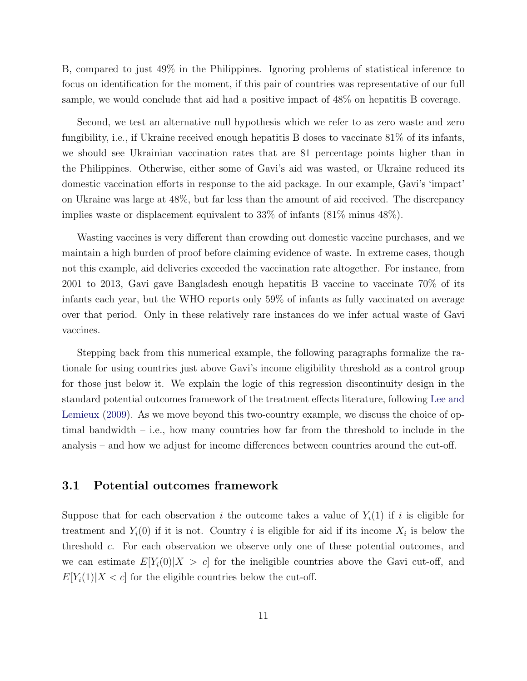B, compared to just 49% in the Philippines. Ignoring problems of statistical inference to focus on identification for the moment, if this pair of countries was representative of our full sample, we would conclude that aid had a positive impact of 48% on hepatitis B coverage.

Second, we test an alternative null hypothesis which we refer to as zero waste and zero fungibility, i.e., if Ukraine received enough hepatitis B doses to vaccinate 81% of its infants, we should see Ukrainian vaccination rates that are 81 percentage points higher than in the Philippines. Otherwise, either some of Gavi's aid was wasted, or Ukraine reduced its domestic vaccination efforts in response to the aid package. In our example, Gavi's 'impact' on Ukraine was large at 48%, but far less than the amount of aid received. The discrepancy implies waste or displacement equivalent to 33% of infants (81% minus 48%).

Wasting vaccines is very different than crowding out domestic vaccine purchases, and we maintain a high burden of proof before claiming evidence of waste. In extreme cases, though not this example, aid deliveries exceeded the vaccination rate altogether. For instance, from 2001 to 2013, Gavi gave Bangladesh enough hepatitis B vaccine to vaccinate 70% of its infants each year, but the WHO reports only 59% of infants as fully vaccinated on average over that period. Only in these relatively rare instances do we infer actual waste of Gavi vaccines.

Stepping back from this numerical example, the following paragraphs formalize the rationale for using countries just above Gavi's income eligibility threshold as a control group for those just below it. We explain the logic of this regression discontinuity design in the standard potential outcomes framework of the treatment effects literature, following [Lee and](#page-30-7) [Lemieux](#page-30-7) [\(2009\)](#page-30-7). As we move beyond this two-country example, we discuss the choice of optimal bandwidth  $-$  i.e., how many countries how far from the threshold to include in the analysis – and how we adjust for income differences between countries around the cut-off.

#### 3.1 Potential outcomes framework

Suppose that for each observation i the outcome takes a value of  $Y_i(1)$  if i is eligible for treatment and  $Y_i(0)$  if it is not. Country i is eligible for aid if its income  $X_i$  is below the threshold c. For each observation we observe only one of these potential outcomes, and we can estimate  $E[Y_i(0)|X > c]$  for the ineligible countries above the Gavi cut-off, and  $E[Y_i(1)|X < c]$  for the eligible countries below the cut-off.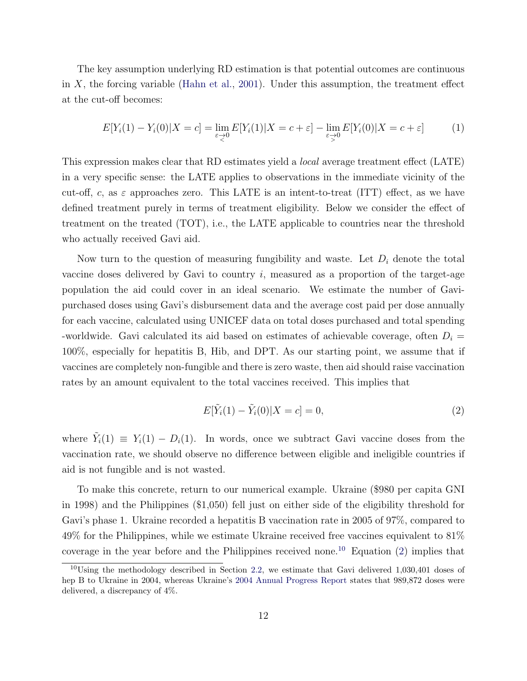The key assumption underlying RD estimation is that potential outcomes are continuous in  $X$ , the forcing variable [\(Hahn et al.,](#page-30-8) [2001\)](#page-30-8). Under this assumption, the treatment effect at the cut-off becomes:

$$
E[Y_i(1) - Y_i(0)|X = c] = \lim_{\varepsilon \to 0} E[Y_i(1)|X = c + \varepsilon] - \lim_{\varepsilon \to 0} E[Y_i(0)|X = c + \varepsilon]
$$
(1)

This expression makes clear that RD estimates yield a local average treatment effect (LATE) in a very specific sense: the LATE applies to observations in the immediate vicinity of the cut-off, c, as  $\varepsilon$  approaches zero. This LATE is an intent-to-treat (ITT) effect, as we have defined treatment purely in terms of treatment eligibility. Below we consider the effect of treatment on the treated (TOT), i.e., the LATE applicable to countries near the threshold who actually received Gavi aid.

Now turn to the question of measuring fungibility and waste. Let  $D_i$  denote the total vaccine doses delivered by Gavi to country  $i$ , measured as a proportion of the target-age population the aid could cover in an ideal scenario. We estimate the number of Gavipurchased doses using Gavi's disbursement data and the average cost paid per dose annually for each vaccine, calculated using UNICEF data on total doses purchased and total spending -worldwide. Gavi calculated its aid based on estimates of achievable coverage, often  $D_i =$ 100%, especially for hepatitis B, Hib, and DPT. As our starting point, we assume that if vaccines are completely non-fungible and there is zero waste, then aid should raise vaccination rates by an amount equivalent to the total vaccines received. This implies that

<span id="page-13-1"></span>
$$
E[\tilde{Y}_i(1) - \tilde{Y}_i(0)|X = c] = 0,
$$
\n(2)

where  $\tilde{Y}_i(1) \equiv Y_i(1) - D_i(1)$ . In words, once we subtract Gavi vaccine doses from the vaccination rate, we should observe no difference between eligible and ineligible countries if aid is not fungible and is not wasted.

To make this concrete, return to our numerical example. Ukraine (\$980 per capita GNI in 1998) and the Philippines (\$1,050) fell just on either side of the eligibility threshold for Gavi's phase 1. Ukraine recorded a hepatitis B vaccination rate in 2005 of 97%, compared to 49% for the Philippines, while we estimate Ukraine received free vaccines equivalent to 81% coverage in the year before and the Philippines received none.<sup>[10](#page-13-0)</sup> Equation [\(2\)](#page-13-1) implies that

<span id="page-13-0"></span><sup>&</sup>lt;sup>10</sup>Using the methodology described in Section [2.2,](#page-7-1) we estimate that Gavi delivered 1,030,401 doses of hep B to Ukraine in 2004, whereas Ukraine's [2004 Annual Progress Report](http://www.gavi.org/country/ukraine/documents) states that 989,872 doses were delivered, a discrepancy of 4%.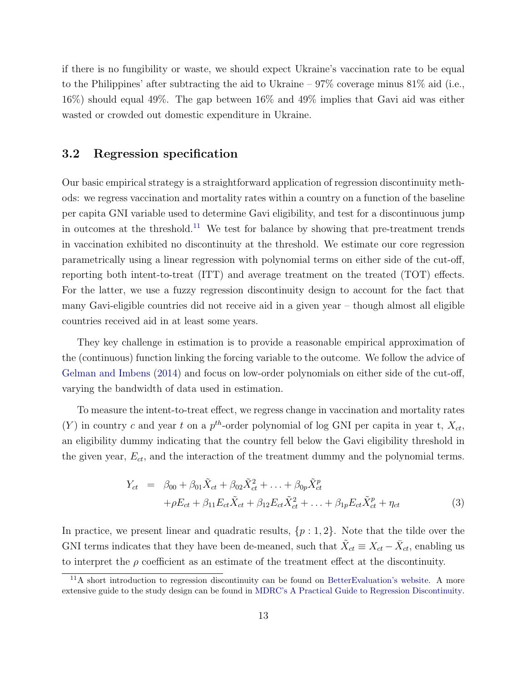if there is no fungibility or waste, we should expect Ukraine's vaccination rate to be equal to the Philippines' after subtracting the aid to Ukraine  $-97\%$  coverage minus 81% aid (i.e., 16%) should equal 49%. The gap between 16% and 49% implies that Gavi aid was either wasted or crowded out domestic expenditure in Ukraine.

#### 3.2 Regression specification

Our basic empirical strategy is a straightforward application of regression discontinuity methods: we regress vaccination and mortality rates within a country on a function of the baseline per capita GNI variable used to determine Gavi eligibility, and test for a discontinuous jump in outcomes at the threshold.<sup>[11](#page-14-0)</sup> We test for balance by showing that pre-treatment trends in vaccination exhibited no discontinuity at the threshold. We estimate our core regression parametrically using a linear regression with polynomial terms on either side of the cut-off, reporting both intent-to-treat (ITT) and average treatment on the treated (TOT) effects. For the latter, we use a fuzzy regression discontinuity design to account for the fact that many Gavi-eligible countries did not receive aid in a given year – though almost all eligible countries received aid in at least some years.

They key challenge in estimation is to provide a reasonable empirical approximation of the (continuous) function linking the forcing variable to the outcome. We follow the advice of [Gelman and Imbens](#page-29-10) [\(2014\)](#page-29-10) and focus on low-order polynomials on either side of the cut-off, varying the bandwidth of data used in estimation.

To measure the intent-to-treat effect, we regress change in vaccination and mortality rates  $(Y)$  in country c and year t on a p<sup>th</sup>-order polynomial of log GNI per capita in year t,  $X_{ct}$ , an eligibility dummy indicating that the country fell below the Gavi eligibility threshold in the given year,  $E_{ct}$ , and the interaction of the treatment dummy and the polynomial terms.

<span id="page-14-1"></span>
$$
Y_{ct} = \beta_{00} + \beta_{01}\tilde{X}_{ct} + \beta_{02}\tilde{X}_{ct}^{2} + \dots + \beta_{0p}\tilde{X}_{ct}^{p}
$$
  
+ $\rho E_{ct} + \beta_{11}E_{ct}\tilde{X}_{ct} + \beta_{12}E_{ct}\tilde{X}_{ct}^{2} + \dots + \beta_{1p}E_{ct}\tilde{X}_{ct}^{p} + \eta_{ct}$  (3)

In practice, we present linear and quadratic results,  $\{p : 1, 2\}$ . Note that the tilde over the GNI terms indicates that they have been de-meaned, such that  $\tilde{X}_{ct} \equiv X_{ct} - \bar{X}_{ct}$ , enabling us to interpret the  $\rho$  coefficient as an estimate of the treatment effect at the discontinuity.

<span id="page-14-0"></span><sup>11</sup>A short introduction to regression discontinuity can be found on [BetterEvaluation's website.](http://betterevaluation.org/evaluation-options/regressiondiscontinuity) A more extensive guide to the study design can be found in [MDRC's A Practical Guide to Regression Discontinuity.](http://www.mdrc.org/sites/default/files/regression_discontinuity_full.pdf)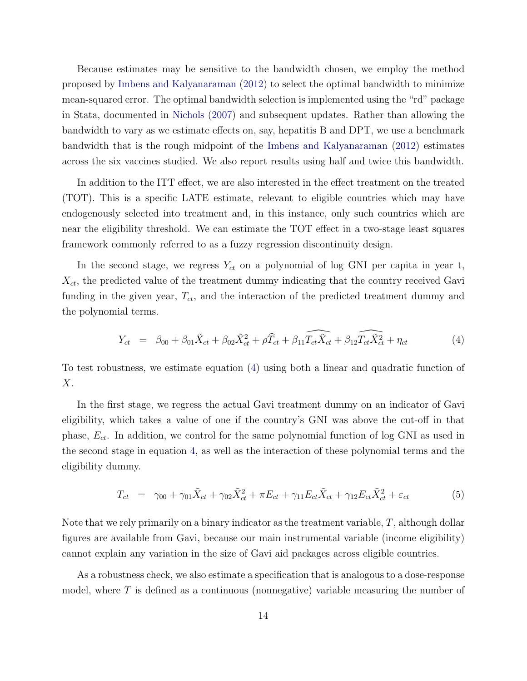Because estimates may be sensitive to the bandwidth chosen, we employ the method proposed by [Imbens and Kalyanaraman](#page-30-9) [\(2012\)](#page-30-9) to select the optimal bandwidth to minimize mean-squared error. The optimal bandwidth selection is implemented using the "rd" package in Stata, documented in [Nichols](#page-31-10) [\(2007\)](#page-31-10) and subsequent updates. Rather than allowing the bandwidth to vary as we estimate effects on, say, hepatitis B and DPT, we use a benchmark bandwidth that is the rough midpoint of the [Imbens and Kalyanaraman](#page-30-9) [\(2012\)](#page-30-9) estimates across the six vaccines studied. We also report results using half and twice this bandwidth.

In addition to the ITT effect, we are also interested in the effect treatment on the treated (TOT). This is a specific LATE estimate, relevant to eligible countries which may have endogenously selected into treatment and, in this instance, only such countries which are near the eligibility threshold. We can estimate the TOT effect in a two-stage least squares framework commonly referred to as a fuzzy regression discontinuity design.

In the second stage, we regress  $Y_{ct}$  on a polynomial of log GNI per capita in year t,  $X_{ct}$ , the predicted value of the treatment dummy indicating that the country received Gavi funding in the given year,  $T_{ct}$ , and the interaction of the predicted treatment dummy and the polynomial terms.

<span id="page-15-0"></span>
$$
Y_{ct} = \beta_{00} + \beta_{01}\tilde{X}_{ct} + \beta_{02}\tilde{X}_{ct}^2 + \rho \widehat{T}_{ct} + \widehat{\beta_{11}T_{ct}\tilde{X}_{ct}} + \widehat{\beta_{12}T_{ct}\tilde{X}_{ct}} + \eta_{ct}
$$
(4)

To test robustness, we estimate equation [\(4\)](#page-15-0) using both a linear and quadratic function of  $X$ .

In the first stage, we regress the actual Gavi treatment dummy on an indicator of Gavi eligibility, which takes a value of one if the country's GNI was above the cut-off in that phase,  $E_{ct}$ . In addition, we control for the same polynomial function of log GNI as used in the second stage in equation [4,](#page-15-0) as well as the interaction of these polynomial terms and the eligibility dummy.

<span id="page-15-1"></span>
$$
T_{ct} = \gamma_{00} + \gamma_{01}\tilde{X}_{ct} + \gamma_{02}\tilde{X}_{ct}^2 + \pi E_{ct} + \gamma_{11}E_{ct}\tilde{X}_{ct} + \gamma_{12}E_{ct}\tilde{X}_{ct}^2 + \varepsilon_{ct}
$$
(5)

Note that we rely primarily on a binary indicator as the treatment variable, T, although dollar figures are available from Gavi, because our main instrumental variable (income eligibility) cannot explain any variation in the size of Gavi aid packages across eligible countries.

As a robustness check, we also estimate a specification that is analogous to a dose-response model, where  $T$  is defined as a continuous (nonnegative) variable measuring the number of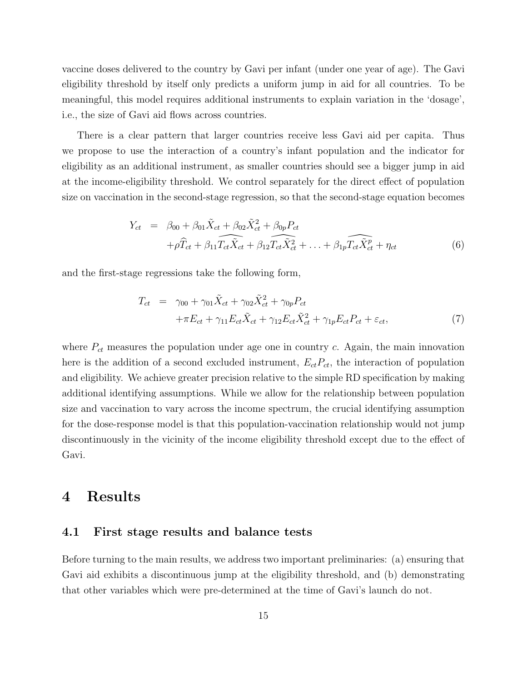vaccine doses delivered to the country by Gavi per infant (under one year of age). The Gavi eligibility threshold by itself only predicts a uniform jump in aid for all countries. To be meaningful, this model requires additional instruments to explain variation in the 'dosage', i.e., the size of Gavi aid flows across countries.

There is a clear pattern that larger countries receive less Gavi aid per capita. Thus we propose to use the interaction of a country's infant population and the indicator for eligibility as an additional instrument, as smaller countries should see a bigger jump in aid at the income-eligibility threshold. We control separately for the direct effect of population size on vaccination in the second-stage regression, so that the second-stage equation becomes

<span id="page-16-2"></span>
$$
Y_{ct} = \beta_{00} + \beta_{01}\tilde{X}_{ct} + \beta_{02}\tilde{X}_{ct}^2 + \beta_{0p}P_{ct}
$$
  
+ $\rho \widehat{T}_{ct} + \beta_{11}\widehat{T_{ct}}\tilde{X}_{ct} + \beta_{12}\widehat{T_{ct}}\tilde{X}_{ct}^2 + \dots + \beta_{1p}\widehat{T_{ct}}\tilde{X}_{ct}^p + \eta_{ct}$  (6)

and the first-stage regressions take the following form,

<span id="page-16-1"></span>
$$
T_{ct} = \gamma_{00} + \gamma_{01}\tilde{X}_{ct} + \gamma_{02}\tilde{X}_{ct}^2 + \gamma_{0p}P_{ct}
$$
  
 
$$
+ \pi E_{ct} + \gamma_{11}E_{ct}\tilde{X}_{ct} + \gamma_{12}E_{ct}\tilde{X}_{ct}^2 + \gamma_{1p}E_{ct}P_{ct} + \varepsilon_{ct},
$$
 (7)

where  $P_{ct}$  measures the population under age one in country c. Again, the main innovation here is the addition of a second excluded instrument,  $E_{ct}P_{ct}$ , the interaction of population and eligibility. We achieve greater precision relative to the simple RD specification by making additional identifying assumptions. While we allow for the relationship between population size and vaccination to vary across the income spectrum, the crucial identifying assumption for the dose-response model is that this population-vaccination relationship would not jump discontinuously in the vicinity of the income eligibility threshold except due to the effect of Gavi.

## <span id="page-16-0"></span>4 Results

#### 4.1 First stage results and balance tests

Before turning to the main results, we address two important preliminaries: (a) ensuring that Gavi aid exhibits a discontinuous jump at the eligibility threshold, and (b) demonstrating that other variables which were pre-determined at the time of Gavi's launch do not.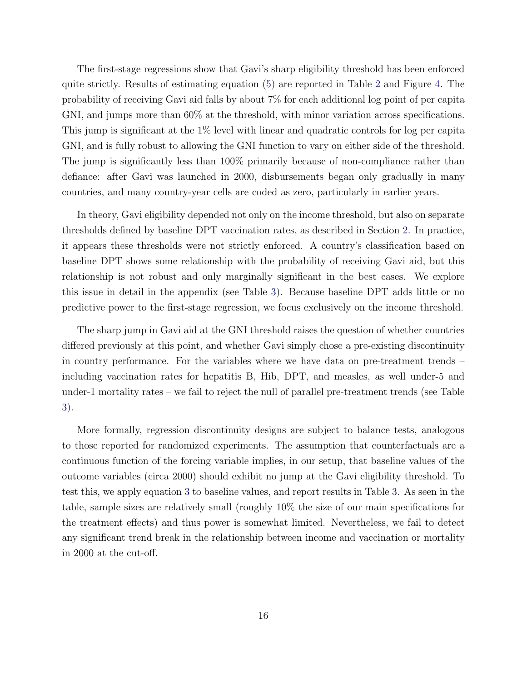The first-stage regressions show that Gavi's sharp eligibility threshold has been enforced quite strictly. Results of estimating equation [\(5\)](#page-15-1) are reported in Table [2](#page-41-0) and Figure [4.](#page-35-0) The probability of receiving Gavi aid falls by about 7% for each additional log point of per capita GNI, and jumps more than 60% at the threshold, with minor variation across specifications. This jump is significant at the 1% level with linear and quadratic controls for log per capita GNI, and is fully robust to allowing the GNI function to vary on either side of the threshold. The jump is significantly less than 100% primarily because of non-compliance rather than defiance: after Gavi was launched in 2000, disbursements began only gradually in many countries, and many country-year cells are coded as zero, particularly in earlier years.

In theory, Gavi eligibility depended not only on the income threshold, but also on separate thresholds defined by baseline DPT vaccination rates, as described in Section [2.](#page-6-0) In practice, it appears these thresholds were not strictly enforced. A country's classification based on baseline DPT shows some relationship with the probability of receiving Gavi aid, but this relationship is not robust and only marginally significant in the best cases. We explore this issue in detail in the appendix (see Table [3\)](#page-0-0). Because baseline DPT adds little or no predictive power to the first-stage regression, we focus exclusively on the income threshold.

The sharp jump in Gavi aid at the GNI threshold raises the question of whether countries differed previously at this point, and whether Gavi simply chose a pre-existing discontinuity in country performance. For the variables where we have data on pre-treatment trends – including vaccination rates for hepatitis B, Hib, DPT, and measles, as well under-5 and under-1 mortality rates – we fail to reject the null of parallel pre-treatment trends (see Table [3\)](#page-42-0).

More formally, regression discontinuity designs are subject to balance tests, analogous to those reported for randomized experiments. The assumption that counterfactuals are a continuous function of the forcing variable implies, in our setup, that baseline values of the outcome variables (circa 2000) should exhibit no jump at the Gavi eligibility threshold. To test this, we apply equation [3](#page-14-1) to baseline values, and report results in Table [3.](#page-42-0) As seen in the table, sample sizes are relatively small (roughly 10% the size of our main specifications for the treatment effects) and thus power is somewhat limited. Nevertheless, we fail to detect any significant trend break in the relationship between income and vaccination or mortality in 2000 at the cut-off.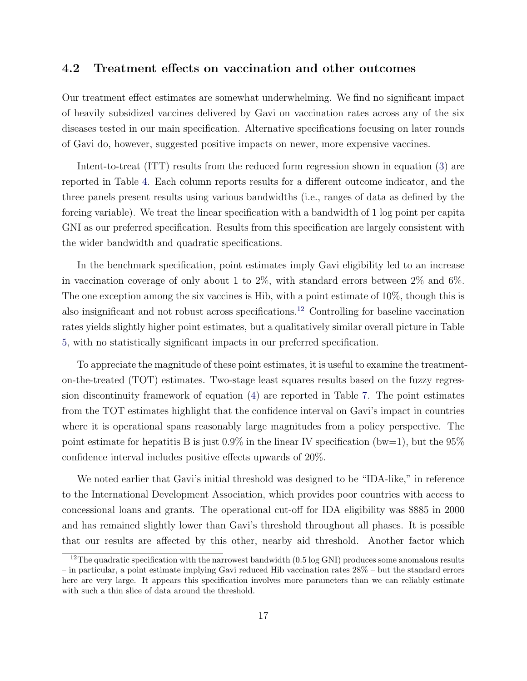#### 4.2 Treatment effects on vaccination and other outcomes

Our treatment effect estimates are somewhat underwhelming. We find no significant impact of heavily subsidized vaccines delivered by Gavi on vaccination rates across any of the six diseases tested in our main specification. Alternative specifications focusing on later rounds of Gavi do, however, suggested positive impacts on newer, more expensive vaccines.

Intent-to-treat (ITT) results from the reduced form regression shown in equation [\(3\)](#page-14-1) are reported in Table [4.](#page-43-0) Each column reports results for a different outcome indicator, and the three panels present results using various bandwidths (i.e., ranges of data as defined by the forcing variable). We treat the linear specification with a bandwidth of 1 log point per capita GNI as our preferred specification. Results from this specification are largely consistent with the wider bandwidth and quadratic specifications.

In the benchmark specification, point estimates imply Gavi eligibility led to an increase in vaccination coverage of only about 1 to 2%, with standard errors between 2% and 6%. The one exception among the six vaccines is Hib, with a point estimate of 10%, though this is also insignificant and not robust across specifications.[12](#page-18-0) Controlling for baseline vaccination rates yields slightly higher point estimates, but a qualitatively similar overall picture in Table [5,](#page-44-0) with no statistically significant impacts in our preferred specification.

To appreciate the magnitude of these point estimates, it is useful to examine the treatmenton-the-treated (TOT) estimates. Two-stage least squares results based on the fuzzy regression discontinuity framework of equation [\(4\)](#page-15-0) are reported in Table [7.](#page-46-0) The point estimates from the TOT estimates highlight that the confidence interval on Gavi's impact in countries where it is operational spans reasonably large magnitudes from a policy perspective. The point estimate for hepatitis B is just  $0.9\%$  in the linear IV specification (bw=1), but the  $95\%$ confidence interval includes positive effects upwards of 20%.

We noted earlier that Gavi's initial threshold was designed to be "IDA-like," in reference to the International Development Association, which provides poor countries with access to concessional loans and grants. The operational cut-off for IDA eligibility was \$885 in 2000 and has remained slightly lower than Gavi's threshold throughout all phases. It is possible that our results are affected by this other, nearby aid threshold. Another factor which

<span id="page-18-0"></span><sup>&</sup>lt;sup>12</sup>The quadratic specification with the narrowest bandwidth  $(0.5 \log GNI)$  produces some anomalous results – in particular, a point estimate implying Gavi reduced Hib vaccination rates 28% – but the standard errors here are very large. It appears this specification involves more parameters than we can reliably estimate with such a thin slice of data around the threshold.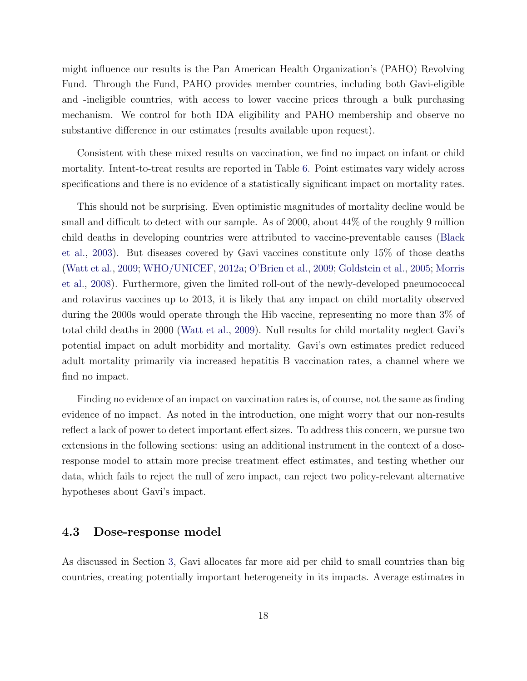might influence our results is the Pan American Health Organization's (PAHO) Revolving Fund. Through the Fund, PAHO provides member countries, including both Gavi-eligible and -ineligible countries, with access to lower vaccine prices through a bulk purchasing mechanism. We control for both IDA eligibility and PAHO membership and observe no substantive difference in our estimates (results available upon request).

Consistent with these mixed results on vaccination, we find no impact on infant or child mortality. Intent-to-treat results are reported in Table [6.](#page-45-0) Point estimates vary widely across specifications and there is no evidence of a statistically significant impact on mortality rates.

This should not be surprising. Even optimistic magnitudes of mortality decline would be small and difficult to detect with our sample. As of 2000, about 44% of the roughly 9 million child deaths in developing countries were attributed to vaccine-preventable causes [\(Black](#page-28-9) [et al.,](#page-28-9) [2003\)](#page-28-9). But diseases covered by Gavi vaccines constitute only 15% of those deaths [\(Watt et al.,](#page-32-0) [2009;](#page-32-0) [WHO/UNICEF,](#page-32-1) [2012a;](#page-32-1) [O'Brien et al.,](#page-31-0) [2009;](#page-31-0) [Goldstein et al.,](#page-29-11) [2005;](#page-29-11) [Morris](#page-31-11) [et al.,](#page-31-11) [2008\)](#page-31-11). Furthermore, given the limited roll-out of the newly-developed pneumococcal and rotavirus vaccines up to 2013, it is likely that any impact on child mortality observed during the 2000s would operate through the Hib vaccine, representing no more than 3% of total child deaths in 2000 [\(Watt et al.,](#page-32-0) [2009\)](#page-32-0). Null results for child mortality neglect Gavi's potential impact on adult morbidity and mortality. Gavi's own estimates predict reduced adult mortality primarily via increased hepatitis B vaccination rates, a channel where we find no impact.

Finding no evidence of an impact on vaccination rates is, of course, not the same as finding evidence of no impact. As noted in the introduction, one might worry that our non-results reflect a lack of power to detect important effect sizes. To address this concern, we pursue two extensions in the following sections: using an additional instrument in the context of a doseresponse model to attain more precise treatment effect estimates, and testing whether our data, which fails to reject the null of zero impact, can reject two policy-relevant alternative hypotheses about Gavi's impact.

#### 4.3 Dose-response model

As discussed in Section [3,](#page-11-0) Gavi allocates far more aid per child to small countries than big countries, creating potentially important heterogeneity in its impacts. Average estimates in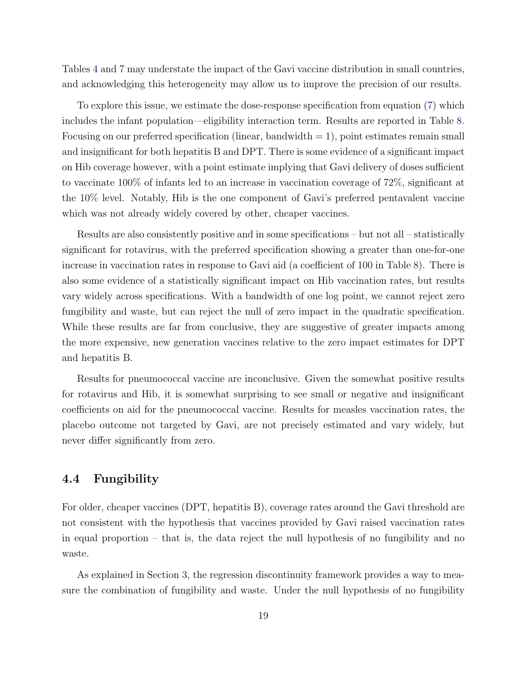Tables [4](#page-43-0) and [7](#page-46-0) may understate the impact of the Gavi vaccine distribution in small countries, and acknowledging this heterogeneity may allow us to improve the precision of our results.

To explore this issue, we estimate the dose-response specification from equation [\(7\)](#page-16-1) which includes the infant population—eligibility interaction term. Results are reported in Table [8.](#page-47-0) Focusing on our preferred specification (linear, bandwidth  $= 1$ ), point estimates remain small and insignificant for both hepatitis B and DPT. There is some evidence of a significant impact on Hib coverage however, with a point estimate implying that Gavi delivery of doses sufficient to vaccinate 100% of infants led to an increase in vaccination coverage of 72%, significant at the 10% level. Notably, Hib is the one component of Gavi's preferred pentavalent vaccine which was not already widely covered by other, cheaper vaccines.

Results are also consistently positive and in some specifications – but not all – statistically significant for rotavirus, with the preferred specification showing a greater than one-for-one increase in vaccination rates in response to Gavi aid (a coefficient of 100 in Table [8\)](#page-47-0). There is also some evidence of a statistically significant impact on Hib vaccination rates, but results vary widely across specifications. With a bandwidth of one log point, we cannot reject zero fungibility and waste, but can reject the null of zero impact in the quadratic specification. While these results are far from conclusive, they are suggestive of greater impacts among the more expensive, new generation vaccines relative to the zero impact estimates for DPT and hepatitis B.

Results for pneumococcal vaccine are inconclusive. Given the somewhat positive results for rotavirus and Hib, it is somewhat surprising to see small or negative and insignificant coefficients on aid for the pneumococcal vaccine. Results for measles vaccination rates, the placebo outcome not targeted by Gavi, are not precisely estimated and vary widely, but never differ significantly from zero.

#### 4.4 Fungibility

For older, cheaper vaccines (DPT, hepatitis B), coverage rates around the Gavi threshold are not consistent with the hypothesis that vaccines provided by Gavi raised vaccination rates in equal proportion – that is, the data reject the null hypothesis of no fungibility and no waste.

As explained in Section [3,](#page-11-0) the regression discontinuity framework provides a way to measure the combination of fungibility and waste. Under the null hypothesis of no fungibility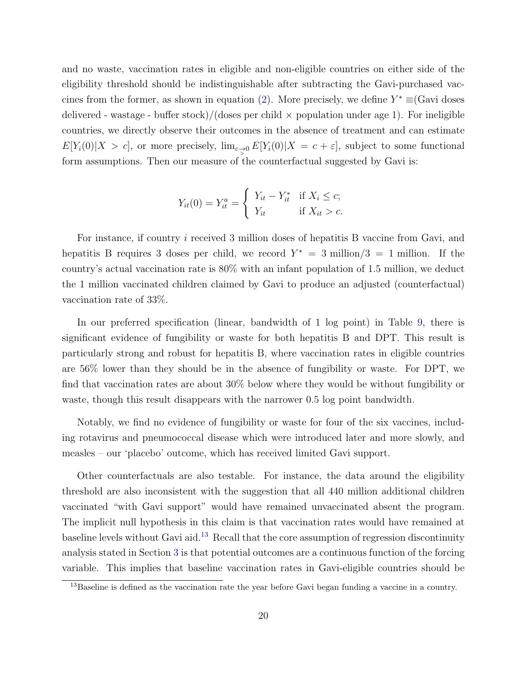and no waste, vaccination rates in eligible and non-eligible countries on either side of the eligibility threshold should be indistinguishable after subtracting the Gavi-purchased vac-cines from the former, as shown in equation [\(2\)](#page-13-1). More precisely, we define  $Y^* \equiv (\text{Gavi doses})$ delivered - wastage - buffer stock)/(doses per child  $\times$  population under age 1). For ineligible countries, we directly observe their outcomes in the absence of treatment and can estimate  $E[Y_i(0)|X > c]$ , or more precisely,  $\lim_{\varepsilon \to 0} E[Y_i(0)|X = c + \varepsilon]$ , subject to some functional form assumptions. Then our measure of the counterfactual suggested by Gavi is:

$$
Y_{it}(0) = Y_{it}^a = \begin{cases} Y_{it} - Y_{it}^* & \text{if } X_i \le c; \\ Y_{it} & \text{if } X_{it} > c. \end{cases}
$$

For instance, if country i received 3 million doses of hepatitis B vaccine from Gavi, and hepatitis B requires 3 doses per child, we record  $Y^* = 3$  million/3 = 1 million. If the country's actual vaccination rate is 80% with an infant population of 1.5 million, we deduct the 1 million vaccinated children claimed by Gavi to produce an adjusted (counterfactual) vaccination rate of 33%.

In our preferred specification (linear, bandwidth of 1 log point) in Table [9,](#page-48-0) there is significant evidence of fungibility or waste for both hepatitis B and DPT. This result is particularly strong and robust for hepatitis B, where vaccination rates in eligible countries are 56% lower than they should be in the absence of fungibility or waste. For DPT, we find that vaccination rates are about 30% below where they would be without fungibility or waste, though this result disappears with the narrower 0.5 log point bandwidth.

Notably, we find no evidence of fungibility or waste for four of the six vaccines, including rotavirus and pneumococcal disease which were introduced later and more slowly, and measles – our 'placebo' outcome, which has received limited Gavi support.

Other counterfactuals are also testable. For instance, the data around the eligibility threshold are also inconsistent with the suggestion that all 440 million additional children vaccinated "with Gavi support" would have remained unvaccinated absent the program. The implicit null hypothesis in this claim is that vaccination rates would have remained at baseline levels without Gavi aid.[13](#page-21-0) Recall that the core assumption of regression discontinuity analysis stated in Section [3](#page-11-0) is that potential outcomes are a continuous function of the forcing variable. This implies that baseline vaccination rates in Gavi-eligible countries should be

<span id="page-21-0"></span><sup>&</sup>lt;sup>13</sup>Baseline is defined as the vaccination rate the year before Gavi began funding a vaccine in a country.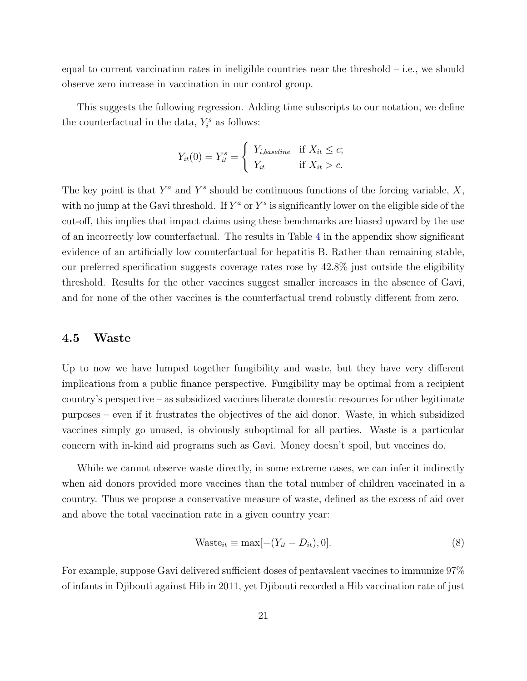equal to current vaccination rates in ineligible countries near the threshold – i.e., we should observe zero increase in vaccination in our control group.

This suggests the following regression. Adding time subscripts to our notation, we define the counterfactual in the data,  $Y_i^s$  as follows:

$$
Y_{it}(0) = Y_{it}^s = \begin{cases} Y_{i,baseline} & \text{if } X_{it} \le c; \\ Y_{it} & \text{if } X_{it} > c. \end{cases}
$$

The key point is that  $Y^a$  and  $Y^s$  should be continuous functions of the forcing variable,  $X$ , with no jump at the Gavi threshold. If  $Y^a$  or  $Y^s$  is significantly lower on the eligible side of the cut-off, this implies that impact claims using these benchmarks are biased upward by the use of an incorrectly low counterfactual. The results in Table [4](#page-0-0) in the appendix show significant evidence of an artificially low counterfactual for hepatitis B. Rather than remaining stable, our preferred specification suggests coverage rates rose by 42.8% just outside the eligibility threshold. Results for the other vaccines suggest smaller increases in the absence of Gavi, and for none of the other vaccines is the counterfactual trend robustly different from zero.

#### 4.5 Waste

Up to now we have lumped together fungibility and waste, but they have very different implications from a public finance perspective. Fungibility may be optimal from a recipient country's perspective – as subsidized vaccines liberate domestic resources for other legitimate purposes – even if it frustrates the objectives of the aid donor. Waste, in which subsidized vaccines simply go unused, is obviously suboptimal for all parties. Waste is a particular concern with in-kind aid programs such as Gavi. Money doesn't spoil, but vaccines do.

While we cannot observe waste directly, in some extreme cases, we can infer it indirectly when aid donors provided more vaccines than the total number of children vaccinated in a country. Thus we propose a conservative measure of waste, defined as the excess of aid over and above the total vaccination rate in a given country year:

<span id="page-22-0"></span>
$$
Waste_{it} \equiv \max[-(Y_{it} - D_{it}), 0].\tag{8}
$$

For example, suppose Gavi delivered sufficient doses of pentavalent vaccines to immunize 97% of infants in Djibouti against Hib in 2011, yet Djibouti recorded a Hib vaccination rate of just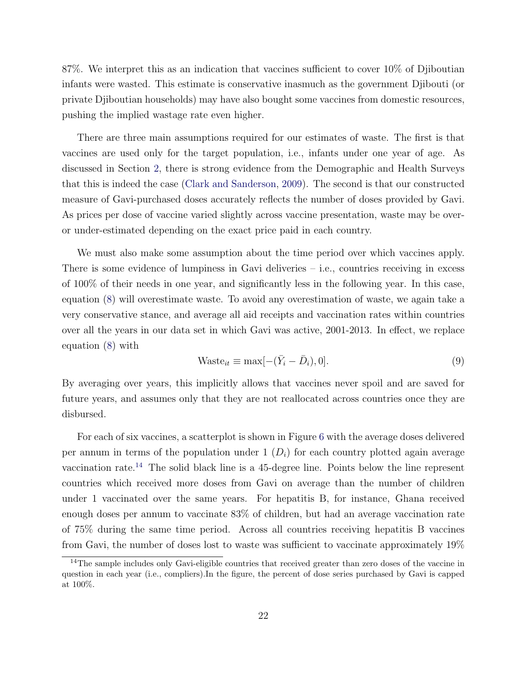87%. We interpret this as an indication that vaccines sufficient to cover 10% of Djiboutian infants were wasted. This estimate is conservative inasmuch as the government Djibouti (or private Djiboutian households) may have also bought some vaccines from domestic resources, pushing the implied wastage rate even higher.

There are three main assumptions required for our estimates of waste. The first is that vaccines are used only for the target population, i.e., infants under one year of age. As discussed in Section [2,](#page-6-0) there is strong evidence from the Demographic and Health Surveys that this is indeed the case [\(Clark and Sanderson,](#page-28-8) [2009\)](#page-28-8). The second is that our constructed measure of Gavi-purchased doses accurately reflects the number of doses provided by Gavi. As prices per dose of vaccine varied slightly across vaccine presentation, waste may be overor under-estimated depending on the exact price paid in each country.

We must also make some assumption about the time period over which vaccines apply. There is some evidence of lumpiness in Gavi deliveries – i.e., countries receiving in excess of 100% of their needs in one year, and significantly less in the following year. In this case, equation [\(8\)](#page-22-0) will overestimate waste. To avoid any overestimation of waste, we again take a very conservative stance, and average all aid receipts and vaccination rates within countries over all the years in our data set in which Gavi was active, 2001-2013. In effect, we replace equation [\(8\)](#page-22-0) with

$$
Waste_{it} \equiv \max[-(\bar{Y}_i - \bar{D}_i), 0].\tag{9}
$$

By averaging over years, this implicitly allows that vaccines never spoil and are saved for future years, and assumes only that they are not reallocated across countries once they are disbursed.

For each of six vaccines, a scatterplot is shown in Figure [6](#page-37-0) with the average doses delivered per annum in terms of the population under  $1 (D_i)$  for each country plotted again average vaccination rate.<sup>[14](#page-23-0)</sup> The solid black line is a 45-degree line. Points below the line represent countries which received more doses from Gavi on average than the number of children under 1 vaccinated over the same years. For hepatitis B, for instance, Ghana received enough doses per annum to vaccinate 83% of children, but had an average vaccination rate of 75% during the same time period. Across all countries receiving hepatitis B vaccines from Gavi, the number of doses lost to waste was sufficient to vaccinate approximately 19%

<span id="page-23-0"></span><sup>&</sup>lt;sup>14</sup>The sample includes only Gavi-eligible countries that received greater than zero doses of the vaccine in question in each year (i.e., compliers).In the figure, the percent of dose series purchased by Gavi is capped at 100%.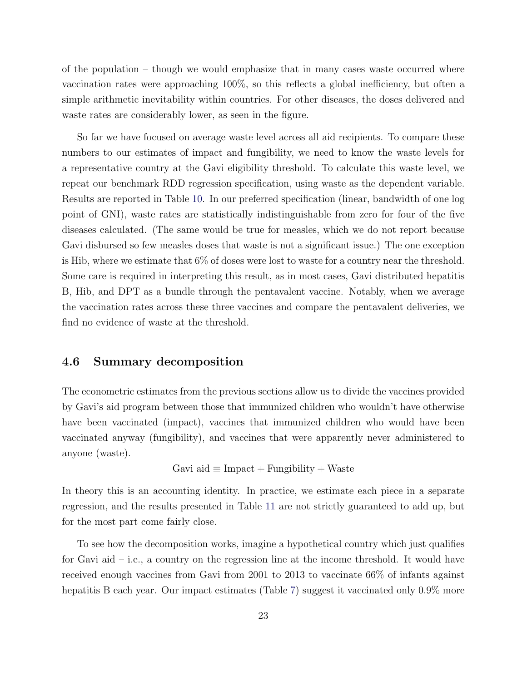of the population – though we would emphasize that in many cases waste occurred where vaccination rates were approaching 100%, so this reflects a global inefficiency, but often a simple arithmetic inevitability within countries. For other diseases, the doses delivered and waste rates are considerably lower, as seen in the figure.

So far we have focused on average waste level across all aid recipients. To compare these numbers to our estimates of impact and fungibility, we need to know the waste levels for a representative country at the Gavi eligibility threshold. To calculate this waste level, we repeat our benchmark RDD regression specification, using waste as the dependent variable. Results are reported in Table [10.](#page-49-0) In our preferred specification (linear, bandwidth of one log point of GNI), waste rates are statistically indistinguishable from zero for four of the five diseases calculated. (The same would be true for measles, which we do not report because Gavi disbursed so few measles doses that waste is not a significant issue.) The one exception is Hib, where we estimate that 6% of doses were lost to waste for a country near the threshold. Some care is required in interpreting this result, as in most cases, Gavi distributed hepatitis B, Hib, and DPT as a bundle through the pentavalent vaccine. Notably, when we average the vaccination rates across these three vaccines and compare the pentavalent deliveries, we find no evidence of waste at the threshold.

#### 4.6 Summary decomposition

The econometric estimates from the previous sections allow us to divide the vaccines provided by Gavi's aid program between those that immunized children who wouldn't have otherwise have been vaccinated (impact), vaccines that immunized children who would have been vaccinated anyway (fungibility), and vaccines that were apparently never administered to anyone (waste).

$$
Gavi aid \equiv Impact + Fungibility + Waste
$$

In theory this is an accounting identity. In practice, we estimate each piece in a separate regression, and the results presented in Table [11](#page-50-0) are not strictly guaranteed to add up, but for the most part come fairly close.

To see how the decomposition works, imagine a hypothetical country which just qualifies for Gavi aid – i.e., a country on the regression line at the income threshold. It would have received enough vaccines from Gavi from 2001 to 2013 to vaccinate 66% of infants against hepatitis B each year. Our impact estimates (Table [7\)](#page-46-0) suggest it vaccinated only  $0.9\%$  more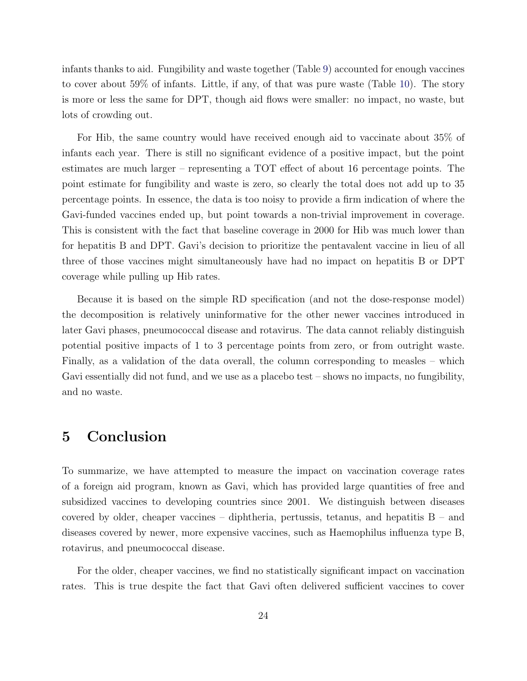infants thanks to aid. Fungibility and waste together (Table [9\)](#page-48-0) accounted for enough vaccines to cover about 59% of infants. Little, if any, of that was pure waste (Table [10\)](#page-49-0). The story is more or less the same for DPT, though aid flows were smaller: no impact, no waste, but lots of crowding out.

For Hib, the same country would have received enough aid to vaccinate about 35% of infants each year. There is still no significant evidence of a positive impact, but the point estimates are much larger – representing a TOT effect of about 16 percentage points. The point estimate for fungibility and waste is zero, so clearly the total does not add up to 35 percentage points. In essence, the data is too noisy to provide a firm indication of where the Gavi-funded vaccines ended up, but point towards a non-trivial improvement in coverage. This is consistent with the fact that baseline coverage in 2000 for Hib was much lower than for hepatitis B and DPT. Gavi's decision to prioritize the pentavalent vaccine in lieu of all three of those vaccines might simultaneously have had no impact on hepatitis B or DPT coverage while pulling up Hib rates.

Because it is based on the simple RD specification (and not the dose-response model) the decomposition is relatively uninformative for the other newer vaccines introduced in later Gavi phases, pneumococcal disease and rotavirus. The data cannot reliably distinguish potential positive impacts of 1 to 3 percentage points from zero, or from outright waste. Finally, as a validation of the data overall, the column corresponding to measles – which Gavi essentially did not fund, and we use as a placebo test – shows no impacts, no fungibility, and no waste.

## <span id="page-25-0"></span>5 Conclusion

To summarize, we have attempted to measure the impact on vaccination coverage rates of a foreign aid program, known as Gavi, which has provided large quantities of free and subsidized vaccines to developing countries since 2001. We distinguish between diseases covered by older, cheaper vaccines – diphtheria, pertussis, tetanus, and hepatitis B – and diseases covered by newer, more expensive vaccines, such as Haemophilus influenza type B, rotavirus, and pneumococcal disease.

For the older, cheaper vaccines, we find no statistically significant impact on vaccination rates. This is true despite the fact that Gavi often delivered sufficient vaccines to cover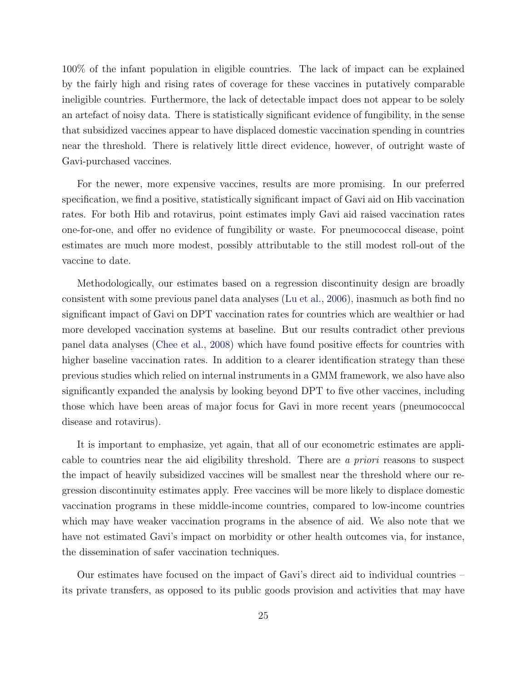100% of the infant population in eligible countries. The lack of impact can be explained by the fairly high and rising rates of coverage for these vaccines in putatively comparable ineligible countries. Furthermore, the lack of detectable impact does not appear to be solely an artefact of noisy data. There is statistically significant evidence of fungibility, in the sense that subsidized vaccines appear to have displaced domestic vaccination spending in countries near the threshold. There is relatively little direct evidence, however, of outright waste of Gavi-purchased vaccines.

For the newer, more expensive vaccines, results are more promising. In our preferred specification, we find a positive, statistically significant impact of Gavi aid on Hib vaccination rates. For both Hib and rotavirus, point estimates imply Gavi aid raised vaccination rates one-for-one, and offer no evidence of fungibility or waste. For pneumococcal disease, point estimates are much more modest, possibly attributable to the still modest roll-out of the vaccine to date.

Methodologically, our estimates based on a regression discontinuity design are broadly consistent with some previous panel data analyses [\(Lu et al.,](#page-30-0) [2006\)](#page-30-0), inasmuch as both find no significant impact of Gavi on DPT vaccination rates for countries which are wealthier or had more developed vaccination systems at baseline. But our results contradict other previous panel data analyses [\(Chee et al.,](#page-28-10) [2008\)](#page-28-10) which have found positive effects for countries with higher baseline vaccination rates. In addition to a clearer identification strategy than these previous studies which relied on internal instruments in a GMM framework, we also have also significantly expanded the analysis by looking beyond DPT to five other vaccines, including those which have been areas of major focus for Gavi in more recent years (pneumococcal disease and rotavirus).

It is important to emphasize, yet again, that all of our econometric estimates are applicable to countries near the aid eligibility threshold. There are a priori reasons to suspect the impact of heavily subsidized vaccines will be smallest near the threshold where our regression discontinuity estimates apply. Free vaccines will be more likely to displace domestic vaccination programs in these middle-income countries, compared to low-income countries which may have weaker vaccination programs in the absence of aid. We also note that we have not estimated Gavi's impact on morbidity or other health outcomes via, for instance, the dissemination of safer vaccination techniques.

Our estimates have focused on the impact of Gavi's direct aid to individual countries – its private transfers, as opposed to its public goods provision and activities that may have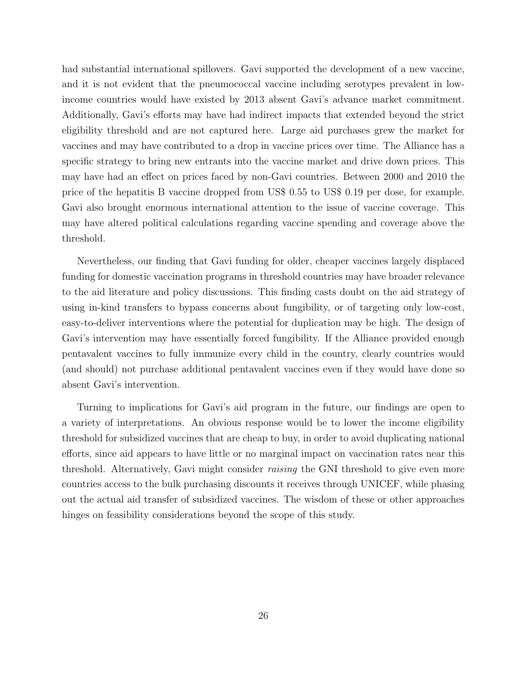had substantial international spillovers. Gavi supported the development of a new vaccine, and it is not evident that the pneumococcal vaccine including serotypes prevalent in lowincome countries would have existed by 2013 absent Gavi's advance market commitment. Additionally, Gavi's efforts may have had indirect impacts that extended beyond the strict eligibility threshold and are not captured here. Large aid purchases grew the market for vaccines and may have contributed to a drop in vaccine prices over time. The Alliance has a specific strategy to bring new entrants into the vaccine market and drive down prices. This may have had an effect on prices faced by non-Gavi countries. Between 2000 and 2010 the price of the hepatitis B vaccine dropped from US\$ 0.55 to US\$ 0.19 per dose, for example. Gavi also brought enormous international attention to the issue of vaccine coverage. This may have altered political calculations regarding vaccine spending and coverage above the threshold.

Nevertheless, our finding that Gavi funding for older, cheaper vaccines largely displaced funding for domestic vaccination programs in threshold countries may have broader relevance to the aid literature and policy discussions. This finding casts doubt on the aid strategy of using in-kind transfers to bypass concerns about fungibility, or of targeting only low-cost, easy-to-deliver interventions where the potential for duplication may be high. The design of Gavi's intervention may have essentially forced fungibility. If the Alliance provided enough pentavalent vaccines to fully immunize every child in the country, clearly countries would (and should) not purchase additional pentavalent vaccines even if they would have done so absent Gavi's intervention.

Turning to implications for Gavi's aid program in the future, our findings are open to a variety of interpretations. An obvious response would be to lower the income eligibility threshold for subsidized vaccines that are cheap to buy, in order to avoid duplicating national efforts, since aid appears to have little or no marginal impact on vaccination rates near this threshold. Alternatively, Gavi might consider raising the GNI threshold to give even more countries access to the bulk purchasing discounts it receives through UNICEF, while phasing out the actual aid transfer of subsidized vaccines. The wisdom of these or other approaches hinges on feasibility considerations beyond the scope of this study.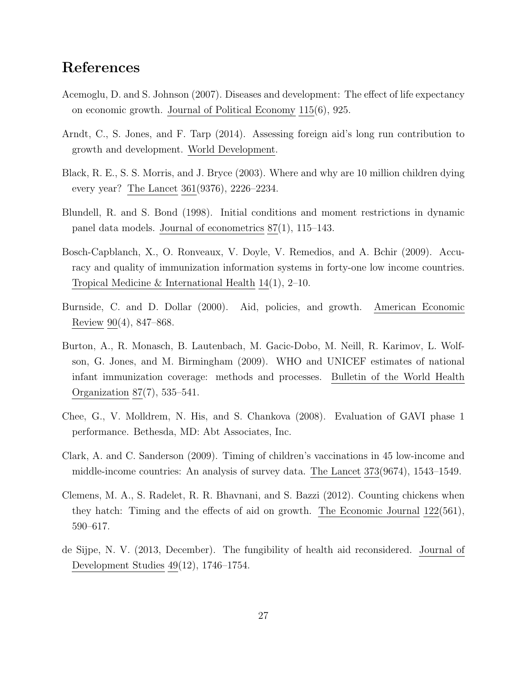## References

- <span id="page-28-4"></span>Acemoglu, D. and S. Johnson (2007). Diseases and development: The effect of life expectancy on economic growth. Journal of Political Economy 115(6), 925.
- <span id="page-28-5"></span>Arndt, C., S. Jones, and F. Tarp (2014). Assessing foreign aid's long run contribution to growth and development. World Development.
- <span id="page-28-9"></span>Black, R. E., S. S. Morris, and J. Bryce (2003). Where and why are 10 million children dying every year? The Lancet 361(9376), 2226–2234.
- <span id="page-28-0"></span>Blundell, R. and S. Bond (1998). Initial conditions and moment restrictions in dynamic panel data models. Journal of econometrics 87(1), 115–143.
- <span id="page-28-6"></span>Bosch-Capblanch, X., O. Ronveaux, V. Doyle, V. Remedios, and A. Bchir (2009). Accuracy and quality of immunization information systems in forty-one low income countries. Tropical Medicine & International Health 14(1), 2–10.
- <span id="page-28-2"></span>Burnside, C. and D. Dollar (2000). Aid, policies, and growth. American Economic Review 90(4), 847–868.
- <span id="page-28-7"></span>Burton, A., R. Monasch, B. Lautenbach, M. Gacic-Dobo, M. Neill, R. Karimov, L. Wolfson, G. Jones, and M. Birmingham (2009). WHO and UNICEF estimates of national infant immunization coverage: methods and processes. Bulletin of the World Health Organization 87(7), 535–541.
- <span id="page-28-10"></span>Chee, G., V. Molldrem, N. His, and S. Chankova (2008). Evaluation of GAVI phase 1 performance. Bethesda, MD: Abt Associates, Inc.
- <span id="page-28-8"></span>Clark, A. and C. Sanderson (2009). Timing of children's vaccinations in 45 low-income and middle-income countries: An analysis of survey data. The Lancet 373(9674), 1543–1549.
- <span id="page-28-3"></span>Clemens, M. A., S. Radelet, R. R. Bhavnani, and S. Bazzi (2012). Counting chickens when they hatch: Timing and the effects of aid on growth. The Economic Journal 122(561), 590–617.
- <span id="page-28-1"></span>de Sijpe, N. V. (2013, December). The fungibility of health aid reconsidered. Journal of Development Studies 49(12), 1746–1754.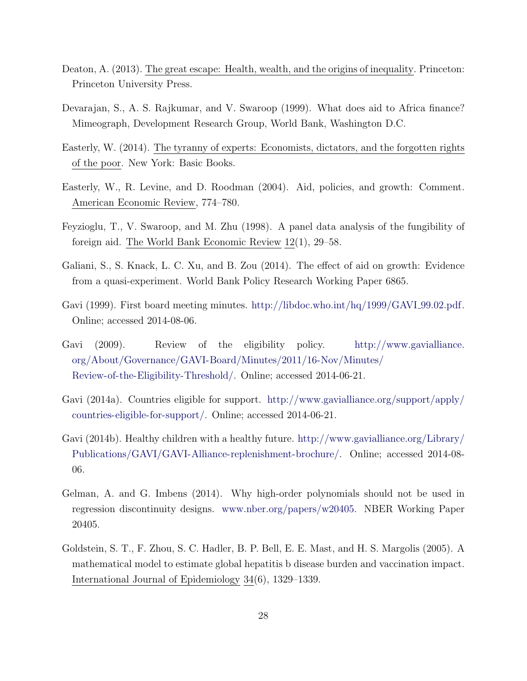- <span id="page-29-4"></span>Deaton, A. (2013). The great escape: Health, wealth, and the origins of inequality. Princeton: Princeton University Press.
- <span id="page-29-1"></span>Devarajan, S., A. S. Rajkumar, and V. Swaroop (1999). What does aid to Africa finance? Mimeograph, Development Research Group, World Bank, Washington D.C.
- <span id="page-29-5"></span>Easterly, W. (2014). The tyranny of experts: Economists, dictators, and the forgotten rights of the poor. New York: Basic Books.
- <span id="page-29-3"></span>Easterly, W., R. Levine, and D. Roodman (2004). Aid, policies, and growth: Comment. American Economic Review, 774–780.
- <span id="page-29-2"></span>Feyzioglu, T., V. Swaroop, and M. Zhu (1998). A panel data analysis of the fungibility of foreign aid. The World Bank Economic Review 12(1), 29–58.
- <span id="page-29-6"></span>Galiani, S., S. Knack, L. C. Xu, and B. Zou (2014). The effect of aid on growth: Evidence from a quasi-experiment. World Bank Policy Research Working Paper 6865.
- <span id="page-29-7"></span>Gavi (1999). First board meeting minutes. [http://libdoc.who.int/hq/1999/GAVI](http://libdoc.who.int/hq/1999/GAVI_99.02.pdf) 99.02.pdf. Online; accessed 2014-08-06.
- <span id="page-29-8"></span>Gavi (2009). Review of the eligibility policy. [http://www.gavialliance.](http://www.gavialliance.org/About/Governance/GAVI-Board/Minutes/2011/16-Nov/Minutes/Review-of-the-Eligibility-Threshold/) [org/About/Governance/GAVI-Board/Minutes/2011/16-Nov/Minutes/](http://www.gavialliance.org/About/Governance/GAVI-Board/Minutes/2011/16-Nov/Minutes/Review-of-the-Eligibility-Threshold/) [Review-of-the-Eligibility-Threshold/.](http://www.gavialliance.org/About/Governance/GAVI-Board/Minutes/2011/16-Nov/Minutes/Review-of-the-Eligibility-Threshold/) Online; accessed 2014-06-21.
- <span id="page-29-9"></span>Gavi (2014a). Countries eligible for support. [http://www.gavialliance.org/support/apply/](http://www.gavialliance.org/support/apply/countries-eligible-for-support/) [countries-eligible-for-support/.](http://www.gavialliance.org/support/apply/countries-eligible-for-support/) Online; accessed 2014-06-21.
- <span id="page-29-0"></span>Gavi (2014b). Healthy children with a healthy future. [http://www.gavialliance.org/Library/](http://www.gavialliance.org/Library/Publications/GAVI/GAVI-Alliance-replenishment-brochure/) [Publications/GAVI/GAVI-Alliance-replenishment-brochure/.](http://www.gavialliance.org/Library/Publications/GAVI/GAVI-Alliance-replenishment-brochure/) Online; accessed 2014-08- 06.
- <span id="page-29-10"></span>Gelman, A. and G. Imbens (2014). Why high-order polynomials should not be used in regression discontinuity designs. [www.nber.org/papers/w20405.](www.nber.org/papers/w20405) NBER Working Paper 20405.
- <span id="page-29-11"></span>Goldstein, S. T., F. Zhou, S. C. Hadler, B. P. Bell, E. E. Mast, and H. S. Margolis (2005). A mathematical model to estimate global hepatitis b disease burden and vaccination impact. International Journal of Epidemiology 34(6), 1329–1339.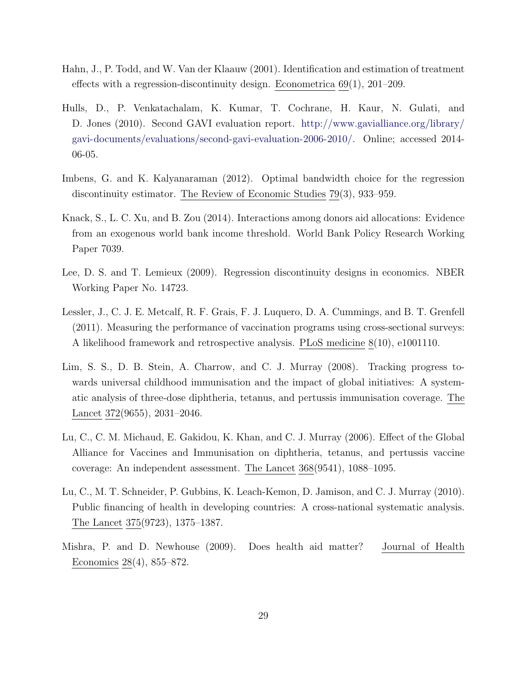- <span id="page-30-8"></span>Hahn, J., P. Todd, and W. Van der Klaauw (2001). Identification and estimation of treatment effects with a regression-discontinuity design. Econometrica 69(1), 201–209.
- <span id="page-30-1"></span>Hulls, D., P. Venkatachalam, K. Kumar, T. Cochrane, H. Kaur, N. Gulati, and D. Jones (2010). Second GAVI evaluation report. [http://www.gavialliance.org/library/](http://www.gavialliance.org/library/gavi-documents/evaluations/second-gavi-evaluation-2006-2010/) [gavi-documents/evaluations/second-gavi-evaluation-2006-2010/.](http://www.gavialliance.org/library/gavi-documents/evaluations/second-gavi-evaluation-2006-2010/) Online; accessed 2014- 06-05.
- <span id="page-30-9"></span>Imbens, G. and K. Kalyanaraman (2012). Optimal bandwidth choice for the regression discontinuity estimator. The Review of Economic Studies 79(3), 933–959.
- <span id="page-30-4"></span>Knack, S., L. C. Xu, and B. Zou (2014). Interactions among donors aid allocations: Evidence from an exogenous world bank income threshold. World Bank Policy Research Working Paper 7039.
- <span id="page-30-7"></span>Lee, D. S. and T. Lemieux (2009). Regression discontinuity designs in economics. NBER Working Paper No. 14723.
- <span id="page-30-6"></span>Lessler, J., C. J. E. Metcalf, R. F. Grais, F. J. Luquero, D. A. Cummings, and B. T. Grenfell (2011). Measuring the performance of vaccination programs using cross-sectional surveys: A likelihood framework and retrospective analysis. PLoS medicine 8(10), e1001110.
- <span id="page-30-5"></span>Lim, S. S., D. B. Stein, A. Charrow, and C. J. Murray (2008). Tracking progress towards universal childhood immunisation and the impact of global initiatives: A systematic analysis of three-dose diphtheria, tetanus, and pertussis immunisation coverage. The Lancet 372(9655), 2031–2046.
- <span id="page-30-0"></span>Lu, C., C. M. Michaud, E. Gakidou, K. Khan, and C. J. Murray (2006). Effect of the Global Alliance for Vaccines and Immunisation on diphtheria, tetanus, and pertussis vaccine coverage: An independent assessment. The Lancet 368(9541), 1088–1095.
- <span id="page-30-2"></span>Lu, C., M. T. Schneider, P. Gubbins, K. Leach-Kemon, D. Jamison, and C. J. Murray (2010). Public financing of health in developing countries: A cross-national systematic analysis. The Lancet 375(9723), 1375–1387.
- <span id="page-30-3"></span>Mishra, P. and D. Newhouse (2009). Does health aid matter? Journal of Health Economics 28(4), 855–872.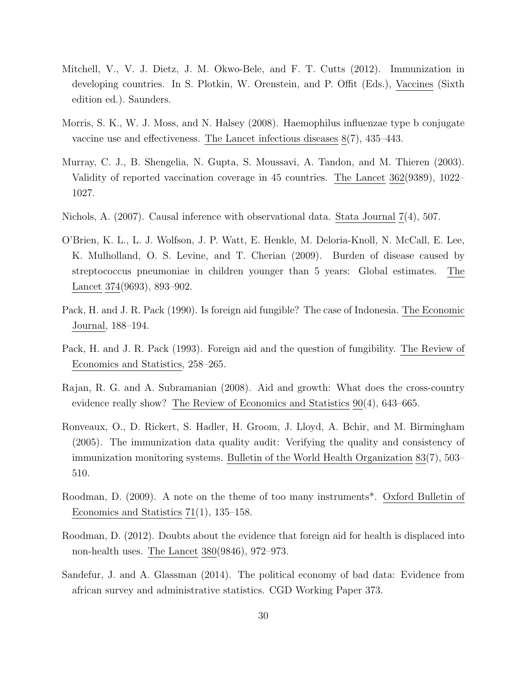- <span id="page-31-9"></span>Mitchell, V., V. J. Dietz, J. M. Okwo-Bele, and F. T. Cutts (2012). Immunization in developing countries. In S. Plotkin, W. Orenstein, and P. Offit (Eds.), Vaccines (Sixth edition ed.). Saunders.
- <span id="page-31-11"></span>Morris, S. K., W. J. Moss, and N. Halsey (2008). Haemophilus influenzae type b conjugate vaccine use and effectiveness. The Lancet infectious diseases 8(7), 435–443.
- <span id="page-31-8"></span>Murray, C. J., B. Shengelia, N. Gupta, S. Moussavi, A. Tandon, and M. Thieren (2003). Validity of reported vaccination coverage in 45 countries. The Lancet 362(9389), 1022– 1027.
- <span id="page-31-10"></span>Nichols, A. (2007). Causal inference with observational data. Stata Journal 7(4), 507.
- <span id="page-31-0"></span>O'Brien, K. L., L. J. Wolfson, J. P. Watt, E. Henkle, M. Deloria-Knoll, N. McCall, E. Lee, K. Mulholland, O. S. Levine, and T. Cherian (2009). Burden of disease caused by streptococcus pneumoniae in children younger than 5 years: Global estimates. The Lancet 374(9693), 893–902.
- <span id="page-31-5"></span>Pack, H. and J. R. Pack (1990). Is foreign aid fungible? The case of Indonesia. The Economic Journal, 188–194.
- <span id="page-31-2"></span>Pack, H. and J. R. Pack (1993). Foreign aid and the question of fungibility. The Review of Economics and Statistics, 258–265.
- <span id="page-31-4"></span>Rajan, R. G. and A. Subramanian (2008). Aid and growth: What does the cross-country evidence really show? The Review of Economics and Statistics 90(4), 643–665.
- <span id="page-31-6"></span>Ronveaux, O., D. Rickert, S. Hadler, H. Groom, J. Lloyd, A. Bchir, and M. Birmingham (2005). The immunization data quality audit: Verifying the quality and consistency of immunization monitoring systems. Bulletin of the World Health Organization 83(7), 503– 510.
- <span id="page-31-1"></span>Roodman, D. (2009). A note on the theme of too many instruments\*. Oxford Bulletin of Economics and Statistics 71(1), 135–158.
- <span id="page-31-3"></span>Roodman, D. (2012). Doubts about the evidence that foreign aid for health is displaced into non-health uses. The Lancet 380(9846), 972–973.
- <span id="page-31-7"></span>Sandefur, J. and A. Glassman (2014). The political economy of bad data: Evidence from african survey and administrative statistics. CGD Working Paper 373.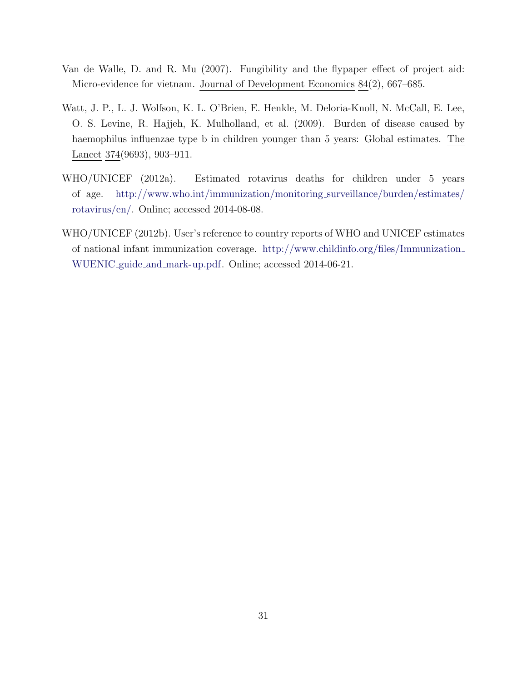- <span id="page-32-2"></span>Van de Walle, D. and R. Mu (2007). Fungibility and the flypaper effect of project aid: Micro-evidence for vietnam. Journal of Development Economics 84(2), 667–685.
- <span id="page-32-0"></span>Watt, J. P., L. J. Wolfson, K. L. O'Brien, E. Henkle, M. Deloria-Knoll, N. McCall, E. Lee, O. S. Levine, R. Hajjeh, K. Mulholland, et al. (2009). Burden of disease caused by haemophilus influenzae type b in children younger than 5 years: Global estimates. The Lancet 374(9693), 903–911.
- <span id="page-32-1"></span>WHO/UNICEF (2012a). Estimated rotavirus deaths for children under 5 years of age. [http://www.who.int/immunization/monitoring](http://www.who.int/immunization/monitoring_surveillance/burden/estimates/rotavirus/en/) surveillance/burden/estimates/ [rotavirus/en/.](http://www.who.int/immunization/monitoring_surveillance/burden/estimates/rotavirus/en/) Online; accessed 2014-08-08.
- <span id="page-32-3"></span>WHO/UNICEF (2012b). User's reference to country reports of WHO and UNICEF estimates of national infant immunization coverage. [http://www.childinfo.org/files/Immunization](http://www.childinfo.org/files/Immunization_WUENIC_guide_and_mark-up.pdf) WUENIC guide and [mark-up.pdf.](http://www.childinfo.org/files/Immunization_WUENIC_guide_and_mark-up.pdf) Online; accessed 2014-06-21.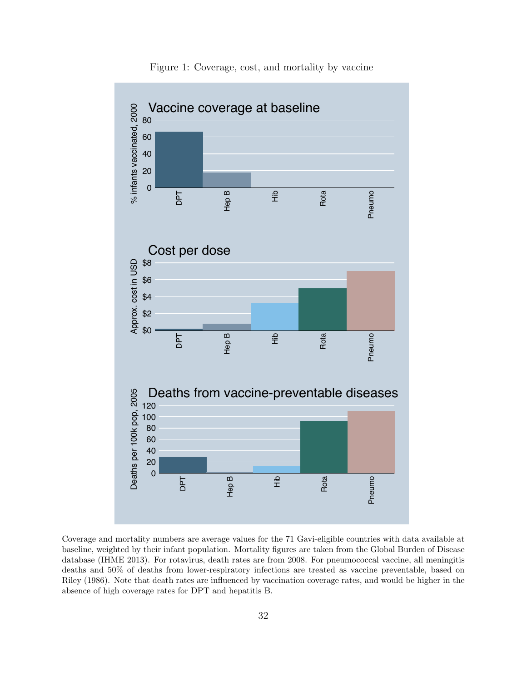<span id="page-33-0"></span>

Figure 1: Coverage, cost, and mortality by vaccine

Coverage and mortality numbers are average values for the 71 Gavi-eligible countries with data available at baseline, weighted by their infant population. Mortality figures are taken from the Global Burden of Disease database (IHME 2013). For rotavirus, death rates are from 2008. For pneumococcal vaccine, all meningitis deaths and 50% of deaths from lower-respiratory infections are treated as vaccine preventable, based on Riley (1986). Note that death rates are influenced by vaccination coverage rates, and would be higher in the absence of high coverage rates for DPT and hepatitis B.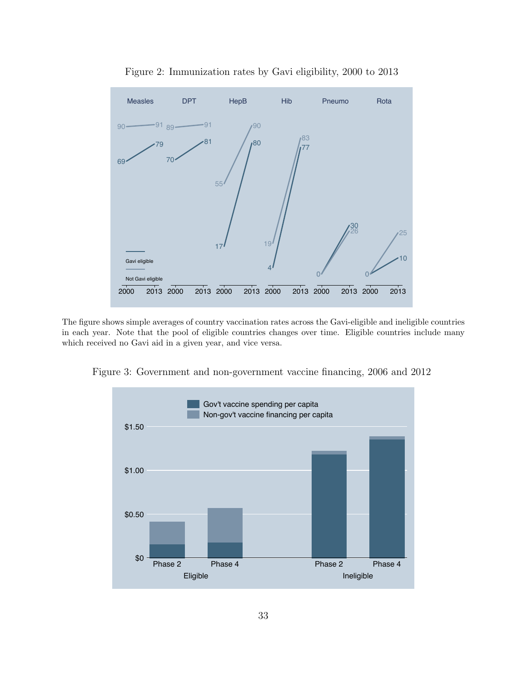<span id="page-34-1"></span>

Figure 2: Immunization rates by Gavi eligibility, 2000 to 2013

The figure shows simple averages of country vaccination rates across the Gavi-eligible and ineligible countries in each year. Note that the pool of eligible countries changes over time. Eligible countries include many which received no Gavi aid in a given year, and vice versa.

<span id="page-34-0"></span>Figure 3: Government and non-government vaccine financing, 2006 and 2012

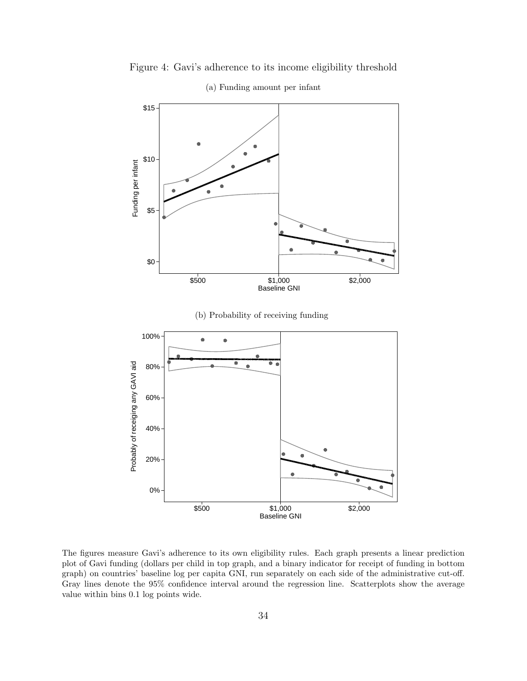<span id="page-35-0"></span>

Figure 4: Gavi's adherence to its income eligibility threshold

The figures measure Gavi's adherence to its own eligibility rules. Each graph presents a linear prediction plot of Gavi funding (dollars per child in top graph, and a binary indicator for receipt of funding in bottom graph) on countries' baseline log per capita GNI, run separately on each side of the administrative cut-off. Gray lines denote the 95% confidence interval around the regression line. Scatterplots show the average value within bins 0.1 log points wide.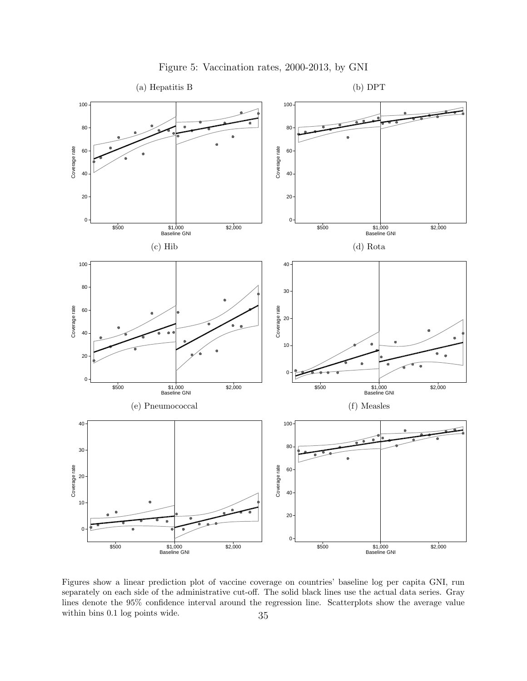

Figure 5: Vaccination rates, 2000-2013, by GNI

Figures show a linear prediction plot of vaccine coverage on countries' baseline log per capita GNI, run separately on each side of the administrative cut-off. The solid black lines use the actual data series. Gray lines denote the 95% confidence interval around the regression line. Scatterplots show the average value within bins 0.1 log points wide.  $35$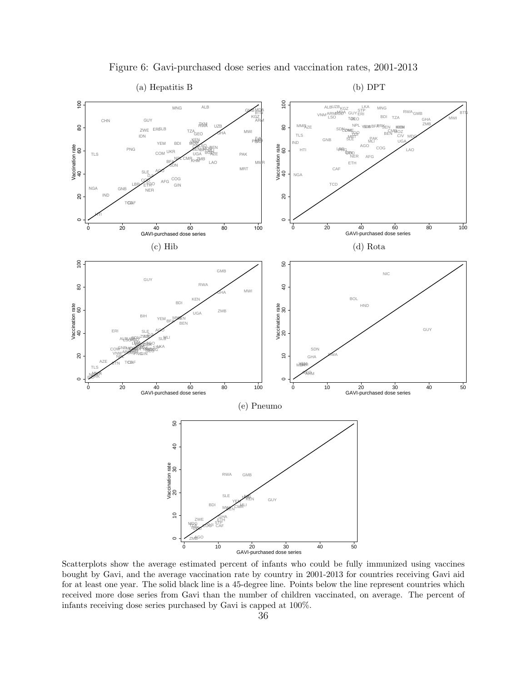<span id="page-37-0"></span>

Figure 6: Gavi-purchased dose series and vaccination rates, 2001-2013

Scatterplots show the average estimated percent of infants who could be fully immunized using vaccines bought by Gavi, and the average vaccination rate by country in 2001-2013 for countries receiving Gavi aid for at least one year. The solid black line is a 45-degree line. Points below the line represent countries which received more dose series from Gavi than the number of children vaccinated, on average. The percent of infants receiving dose series purchased by Gavi is capped at 100%.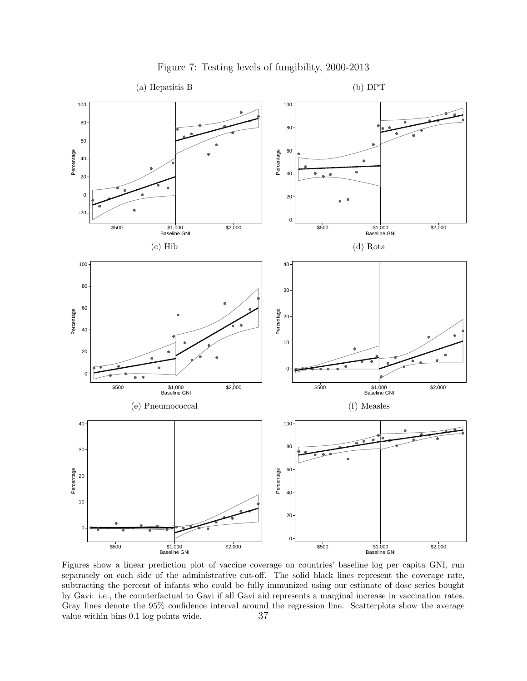

Figure 7: Testing levels of fungibility, 2000-2013

Figures show a linear prediction plot of vaccine coverage on countries' baseline log per capita GNI, run separately on each side of the administrative cut-off. The solid black lines represent the coverage rate, subtracting the percent of infants who could be fully immunized using our estimate of dose series bought by Gavi: i.e., the counterfactual to Gavi if all Gavi aid represents a marginal increase in vaccination rates. Gray lines denote the 95% confidence interval around the regression line. Scatterplots show the average value within bins 0.1 log points wide.  $37$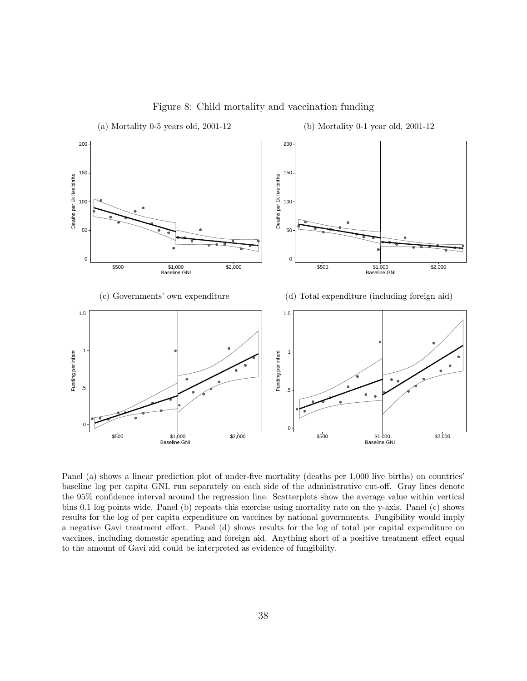

Figure 8: Child mortality and vaccination funding

Panel (a) shows a linear prediction plot of under-five mortality (deaths per 1,000 live births) on countries' baseline log per capita GNI, run separately on each side of the administrative cut-off. Gray lines denote the 95% confidence interval around the regression line. Scatterplots show the average value within vertical bins 0.1 log points wide. Panel (b) repeats this exercise using mortality rate on the y-axis. Panel (c) shows results for the log of per capita expenditure on vaccines by national governments. Fungibility would imply a negative Gavi treatment effect. Panel (d) shows results for the log of total per capital expenditure on vaccines, including domestic spending and foreign aid. Anything short of a positive treatment effect equal to the amount of Gavi aid could be interpreted as evidence of fungibility.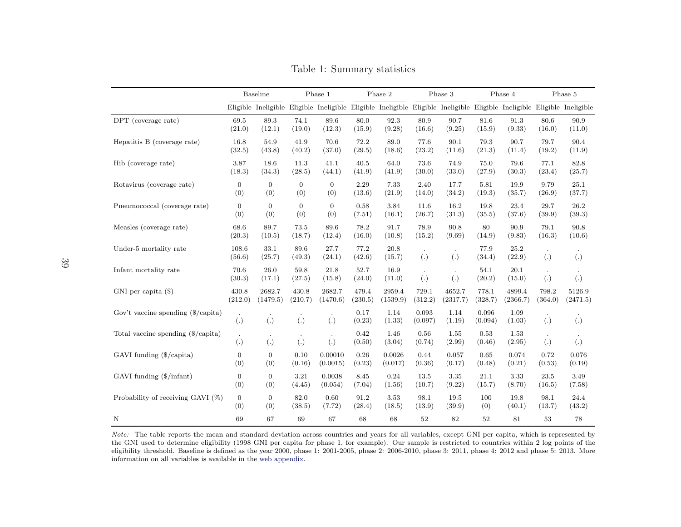|                                                   |                               | Baseline                                                                                                              |                  | Phase 1        |                | Phase 2        |                   | Phase 3          |                  | Phase 4        |                  | Phase 5  |
|---------------------------------------------------|-------------------------------|-----------------------------------------------------------------------------------------------------------------------|------------------|----------------|----------------|----------------|-------------------|------------------|------------------|----------------|------------------|----------|
|                                                   |                               | Eligible Ineligible Eligible Ineligible Eligible Ineligible Eligible Ineligible Eligible Eligible Eligible Ineligible |                  |                |                |                |                   |                  |                  |                |                  |          |
| DPT (coverage rate)                               | 69.5                          | 89.3                                                                                                                  | 74.1             | 89.6           | 80.0           | 92.3           | 80.9              | 90.7             | 81.6             | 91.3           | 80.6             | 90.9     |
|                                                   | (21.0)                        | (12.1)                                                                                                                | (19.0)           | (12.3)         | (15.9)         | (9.28)         | (16.6)            | (9.25)           | (15.9)           | (9.33)         | (16.0)           | (11.0)   |
| Hepatitis B (coverage rate)                       | 16.8                          | 54.9                                                                                                                  | 41.9             | 70.6           | 72.2           | 89.0           | 77.6              | 90.1             | 79.3             | 90.7           | 79.7             | 90.4     |
|                                                   | (32.5)                        | (43.8)                                                                                                                | (40.2)           | (37.0)         | (29.5)         | (18.6)         | (23.2)            | (11.6)           | (21.3)           | (11.4)         | (19.2)           | (11.9)   |
| Hib (coverage rate)                               | 3.87                          | 18.6                                                                                                                  | 11.3             | 41.1           | 40.5           | 64.0           | 73.6              | 74.9             | 75.0             | 79.6           | 77.1             | 82.8     |
|                                                   | (18.3)                        | (34.3)                                                                                                                | (28.5)           | (44.1)         | (41.9)         | (41.9)         | (30.0)            | (33.0)           | (27.9)           | (30.3)         | (23.4)           | (25.7)   |
| Rotavirus (coverage rate)                         | $\overline{0}$                | $\overline{0}$                                                                                                        | $\boldsymbol{0}$ | $\overline{0}$ | 2.29           | 7.33           | 2.40              | 17.7             | 5.81             | 19.9           | 9.79             | 25.1     |
|                                                   | (0)                           | (0)                                                                                                                   | (0)              | (0)            | (13.6)         | (21.9)         | (14.0)            | (34.2)           | (19.3)           | (35.7)         | (26.9)           | (37.7)   |
| Pneumococcal (coverage rate)                      | $\overline{0}$                | $\overline{0}$                                                                                                        | $\overline{0}$   | $\overline{0}$ | 0.58           | 3.84           | 11.6              | 16.2             | 19.8             | 23.4           | 29.7             | 26.2     |
|                                                   | (0)                           | (0)                                                                                                                   | (0)              | (0)            | (7.51)         | (16.1)         | (26.7)            | (31.3)           | (35.5)           | (37.6)         | (39.9)           | (39.3)   |
| Measles (coverage rate)                           | 68.6                          | 89.7                                                                                                                  | 73.5             | 89.6           | 78.2           | 91.7           | 78.9              | 90.8             | 80               | 90.9           | 79.1             | 90.8     |
|                                                   | (20.3)                        | (10.5)                                                                                                                | (18.7)           | (12.4)         | (16.0)         | (10.8)         | (15.2)            | (9.69)           | (14.9)           | (9.83)         | (16.3)           | (10.6)   |
| Under-5 mortality rate                            | 108.6<br>(56.6)               | 33.1<br>(25.7)                                                                                                        | 89.6<br>(49.3)   | 27.7<br>(24.1) | 77.2<br>(42.6) | 20.8<br>(15.7) | $\left( .\right)$ | (.)              | 77.9<br>(34.4)   | 25.2<br>(22.9) | (.)              | (.)      |
| Infant mortality rate                             | 70.6<br>(30.3)                | 26.0<br>(17.1)                                                                                                        | 59.8<br>(27.5)   | 21.8<br>(15.8) | 52.7<br>(24.0) | 16.9<br>(11.0) | $\bullet$<br>(.)  | $\bullet$<br>(.) | 54.1<br>(20.2)   | 20.1<br>(15.0) | $\sim$<br>(.)    | (.)      |
| $GNI$ per capita $(\$)$                           | 430.8                         | 2682.7                                                                                                                | 430.8            | 2682.7         | 479.4          | 2959.4         | 729.1             | 4652.7           | 778.1            | 4899.4         | 798.2            | 5126.9   |
|                                                   | (212.0)                       | (1479.5)                                                                                                              | (210.7)          | (1470.6)       | (230.5)        | (1539.9)       | (312.2)           | (2317.7)         | (328.7)          | (2366.7)       | (364.0)          | (2471.5) |
| Gov't vaccine spending $(\frac{6}{\cosh \theta})$ | $\cdot$<br>$\left( . \right)$ | (.)                                                                                                                   | (.)              | (.)            | 0.17<br>(0.23) | 1.14<br>(1.33) | 0.093<br>(0.097)  | 1.14<br>(1.19)   | 0.096<br>(0.094) | 1.09<br>(1.03) | $\bullet$<br>(.) | (.)      |
| Total vaccine spending (\$/capita)                | $\bullet$<br>(.)              | (.)                                                                                                                   | (.)              | (.)            | 0.42<br>(0.50) | 1.46<br>(3.04) | 0.56<br>(0.74)    | 1.55<br>(2.99)   | 0.53<br>(0.46)   | 1.53<br>(2.95) | (.)              | (.)      |
| GAVI funding (\$/capita)                          | $\overline{0}$                | $\overline{0}$                                                                                                        | 0.10             | 0.00010        | 0.26           | 0.0026         | 0.44              | 0.057            | 0.65             | 0.074          | 0.72             | 0.076    |
|                                                   | (0)                           | (0)                                                                                                                   | (0.16)           | (0.0015)       | (0.23)         | (0.017)        | (0.36)            | (0.17)           | (0.48)           | (0.21)         | (0.53)           | (0.19)   |
| GAVI funding $(\frac{6}{\pi} \text{infant})$      | $\overline{0}$                | $\overline{0}$                                                                                                        | 3.21             | 0.0038         | 8.45           | 0.24           | 13.5              | 3.35             | 21.1             | 3.33           | 23.5             | 3.49     |
|                                                   | (0)                           | (0)                                                                                                                   | (4.45)           | (0.054)        | (7.04)         | (1.56)         | (10.7)            | (9.22)           | (15.7)           | (8.70)         | (16.5)           | (7.58)   |
| Probability of receiving GAVI (%)                 | $\overline{0}$                | $\overline{0}$                                                                                                        | 82.0             | 0.60           | 91.2           | 3.53           | 98.1              | 19.5             | 100              | 19.8           | 98.1             | 24.4     |
|                                                   | (0)                           | (0)                                                                                                                   | (38.5)           | (7.72)         | (28.4)         | (18.5)         | (13.9)            | (39.9)           | (0)              | (40.1)         | (13.7)           | (43.2)   |
| $\mathbf N$                                       | 69                            | 67                                                                                                                    | 69               | 67             | 68             | 68             | 52                | 82               | 52               | 81             | 53               | 78       |

<span id="page-40-0"></span>Table 1: Summary statistics

Note: The table reports the mean and standard deviation across countries and years for all variables, except GNI per capita, which is represented by the GNI used to determine eligibility (1998 GNI per capita for <sup>p</sup>hase 1, for example). Our sample is restricted to countries within <sup>2</sup> log points of the eligibility threshold. Baseline is defined as the year 2000, <sup>p</sup>hase 1: 2001-2005, <sup>p</sup>hase 2: 2006-2010, <sup>p</sup>hase 3: 2011, <sup>p</sup>hase 4: 2012 and <sup>p</sup>hase 5: 2013. Moreinformation on all variables is available in the web [appendix.](#page-0-0)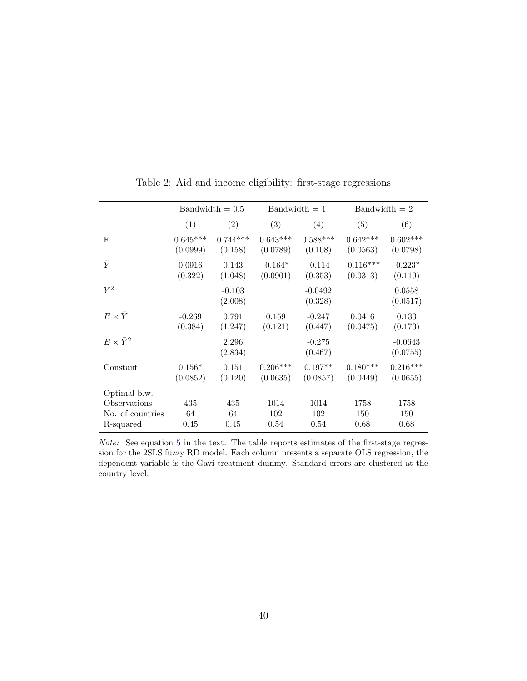<span id="page-41-0"></span>

|                         |                        | $Bandwidth = 0.5$     |                        | $Bandwidth = 1$       | $Bandwidth = 2$         |                        |  |
|-------------------------|------------------------|-----------------------|------------------------|-----------------------|-------------------------|------------------------|--|
|                         | (1)                    | (2)                   | (3)                    | (4)                   | (5)                     | (6)                    |  |
| E                       | $0.645***$<br>(0.0999) | $0.744***$<br>(0.158) | $0.643***$<br>(0.0789) | $0.588***$<br>(0.108) | $0.642***$<br>(0.0563)  | $0.602***$<br>(0.0798) |  |
| $\bar{Y}$               | 0.0916<br>(0.322)      | 0.143<br>(1.048)      | $-0.164*$<br>(0.0901)  | $-0.114$<br>(0.353)   | $-0.116***$<br>(0.0313) | $-0.223*$<br>(0.119)   |  |
| $\bar{Y}^2$             |                        | $-0.103$<br>(2.008)   |                        | $-0.0492$<br>(0.328)  |                         | 0.0558<br>(0.0517)     |  |
| $E \times \overline{Y}$ | $-0.269$<br>(0.384)    | 0.791<br>(1.247)      | 0.159<br>(0.121)       | $-0.247$<br>(0.447)   | 0.0416<br>(0.0475)      | 0.133<br>(0.173)       |  |
| $E \times \bar{Y}^2$    |                        | 2.296<br>(2.834)      |                        | $-0.275$<br>(0.467)   |                         | $-0.0643$<br>(0.0755)  |  |
| Constant                | $0.156*$<br>(0.0852)   | 0.151<br>(0.120)      | $0.206***$<br>(0.0635) | $0.197**$<br>(0.0857) | $0.180***$<br>(0.0449)  | $0.216***$<br>(0.0655) |  |
| Optimal b.w.            |                        |                       |                        |                       |                         |                        |  |
| Observations            | 435                    | 435                   | 1014                   | 1014                  | 1758                    | 1758                   |  |
| No. of countries        | 64                     | 64                    | 102                    | 102                   | 150                     | 150                    |  |
| R-squared               | 0.45                   | 0.45                  | 0.54                   | 0.54                  | 0.68                    | 0.68                   |  |

Table 2: Aid and income eligibility: first-stage regressions

Note: See equation [5](#page-15-1) in the text. The table reports estimates of the first-stage regression for the 2SLS fuzzy RD model. Each column presents a separate OLS regression, the dependent variable is the Gavi treatment dummy. Standard errors are clustered at the country level.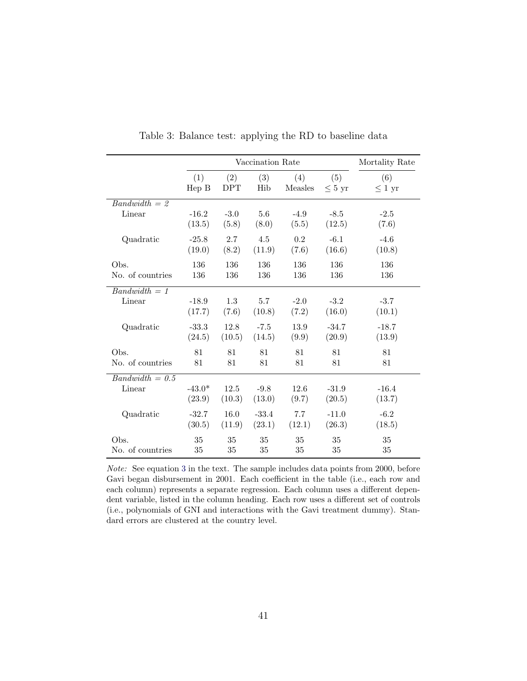<span id="page-42-0"></span>

|                   |          | Vaccination Rate |         | Mortality Rate |             |             |
|-------------------|----------|------------------|---------|----------------|-------------|-------------|
|                   | (1)      | (2)              | (3)     | (4)            | (5)         | (6)         |
|                   | Hep B    | <b>DPT</b>       | Hib     | Measles        | $\leq 5$ yr | $\leq 1$ yr |
| $Bandwidth = 2$   |          |                  |         |                |             |             |
| Linear            | $-16.2$  | $-3.0$           | 5.6     | $-4.9$         | $-8.5$      | $-2.5$      |
|                   | (13.5)   | (5.8)            | (8.0)   | (5.5)          | (12.5)      | (7.6)       |
| Quadratic         | $-25.8$  | 2.7              | 4.5     | 0.2            | $-6.1$      | $-4.6$      |
|                   | (19.0)   | (8.2)            | (11.9)  | (7.6)          | (16.6)      | (10.8)      |
| Obs.              | 136      | 136              | 136     | 136            | 136         | 136         |
| No. of countries  | 136      | 136              | 136     | 136            | 136         | 136         |
| $Bandwidth = 1$   |          |                  |         |                |             |             |
| Linear            | $-18.9$  | 1.3              | 5.7     | $-2.0$         | $-3.2$      | $-3.7$      |
|                   | (17.7)   | (7.6)            | (10.8)  | (7.2)          | (16.0)      | (10.1)      |
| Quadratic         | $-33.3$  | 12.8             | $-7.5$  | 13.9           | $-34.7$     | $-18.7$     |
|                   | (24.5)   | (10.5)           | (14.5)  | (9.9)          | (20.9)      | (13.9)      |
| Obs.              | 81       | 81               | 81      | 81             | 81          | 81          |
| No. of countries  | 81       | 81               | 81      | 81             | 81          | 81          |
| $Bandwidth = 0.5$ |          |                  |         |                |             |             |
| Linear            | $-43.0*$ | 12.5             | $-9.8$  | 12.6           | $-31.9$     | $-16.4$     |
|                   | (23.9)   | (10.3)           | (13.0)  | (9.7)          | (20.5)      | (13.7)      |
| Quadratic         | $-32.7$  | 16.0             | $-33.4$ | 7.7            | $-11.0$     | $-6.2$      |
|                   | (30.5)   | (11.9)           | (23.1)  | (12.1)         | (26.3)      | (18.5)      |
| Obs.              | 35       | 35               | 35      | 35             | 35          | 35          |
| No. of countries  | 35       | 35               | 35      | 35             | 35          | 35          |

Table 3: Balance test: applying the RD to baseline data

Note: See equation [3](#page-14-1) in the text. The sample includes data points from 2000, before Gavi began disbursement in 2001. Each coefficient in the table (i.e., each row and each column) represents a separate regression. Each column uses a different dependent variable, listed in the column heading. Each row uses a different set of controls (i.e., polynomials of GNI and interactions with the Gavi treatment dummy). Standard errors are clustered at the country level.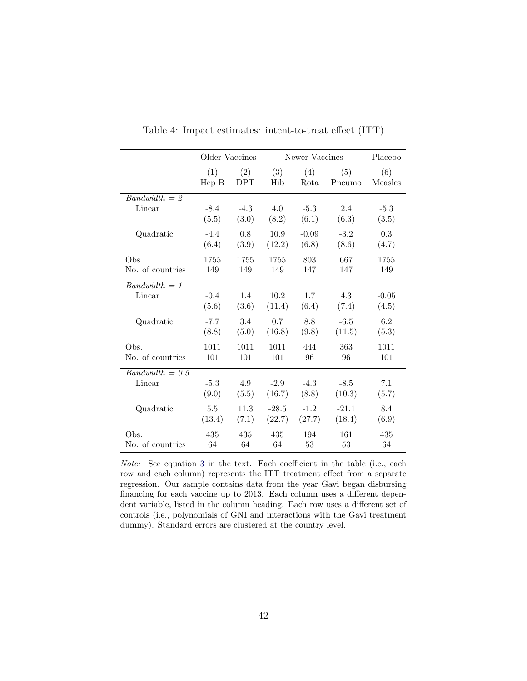<span id="page-43-0"></span>

|                   | Older Vaccines        |                   |            | Newer Vaccines |               |                |  |
|-------------------|-----------------------|-------------------|------------|----------------|---------------|----------------|--|
|                   | (1)<br>$\text{Hep B}$ | (2)<br><b>DPT</b> | (3)<br>Hib | (4)<br>Rota    | (5)<br>Pneumo | (6)<br>Measles |  |
| $Bandwidth = 2$   |                       |                   |            |                |               |                |  |
| Linear            | $-8.4$                | $-4.3$            | 4.0        | $-5.3$         | 2.4           | $-5.3$         |  |
|                   | (5.5)                 | (3.0)             | (8.2)      | (6.1)          | (6.3)         | (3.5)          |  |
| Quadratic         | $-4.4$                | 0.8               | 10.9       | $-0.09$        | $-3.2$        | 0.3            |  |
|                   | (6.4)                 | (3.9)             | (12.2)     | (6.8)          | (8.6)         | (4.7)          |  |
| Obs.              | 1755                  | 1755              | 1755       | 803            | 667           | 1755           |  |
| No. of countries  | 149                   | 149               | 149        | 147            | 147           | 149            |  |
| $Bandwidth = 1$   |                       |                   |            |                |               |                |  |
| Linear            | $-0.4$                | 1.4               | 10.2       | 1.7            | 4.3           | $-0.05$        |  |
|                   | (5.6)                 | (3.6)             | (11.4)     | (6.4)          | (7.4)         | (4.5)          |  |
| Quadratic         | $-7.7$                | 3.4               | 0.7        | 8.8            | $-6.5$        | 6.2            |  |
|                   | (8.8)                 | (5.0)             | (16.8)     | (9.8)          | (11.5)        | (5.3)          |  |
| Obs.              | 1011                  | 1011              | 1011       | 444            | 363           | 1011           |  |
| No. of countries  | 101                   | 101               | 101        | 96             | 96            | 101            |  |
| $Bandwidth = 0.5$ |                       |                   |            |                |               |                |  |
| Linear            | $-5.3$                | 4.9               | $-2.9$     | $-4.3$         | $-8.5$        | 7.1            |  |
|                   | (9.0)                 | (5.5)             | (16.7)     | (8.8)          | (10.3)        | (5.7)          |  |
| Quadratic         | 5.5                   | 11.3              | $-28.5$    | $-1.2$         | $-21.1$       | 8.4            |  |
|                   | (13.4)                | (7.1)             | (22.7)     | (27.7)         | (18.4)        | (6.9)          |  |
| Obs.              | 435                   | 435               | 435        | 194            | 161           | 435            |  |
| No. of countries  | 64                    | 64                | 64         | 53             | 53            | 64             |  |

Table 4: Impact estimates: intent-to-treat effect (ITT)

Note: See equation [3](#page-14-1) in the text. Each coefficient in the table (i.e., each row and each column) represents the ITT treatment effect from a separate regression. Our sample contains data from the year Gavi began disbursing financing for each vaccine up to 2013. Each column uses a different dependent variable, listed in the column heading. Each row uses a different set of controls (i.e., polynomials of GNI and interactions with the Gavi treatment dummy). Standard errors are clustered at the country level.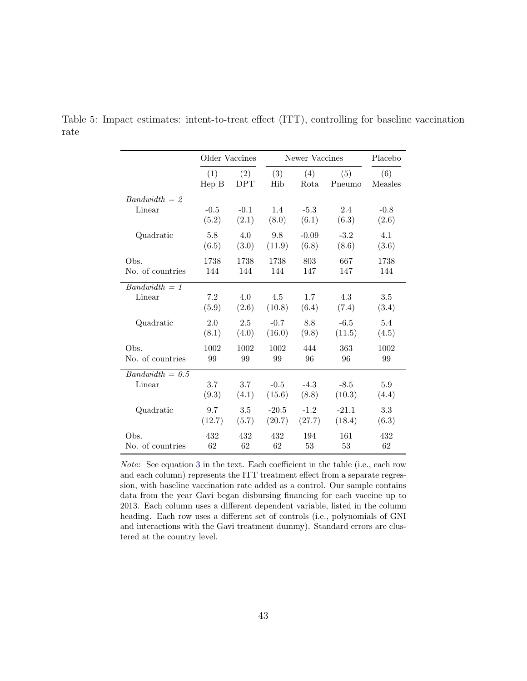|                   | Older Vaccines |        |         | Newer Vaccines |         | Placebo |
|-------------------|----------------|--------|---------|----------------|---------|---------|
|                   | (1)            | (2)    | (3)     | (4)            | (5)     | (6)     |
|                   | Hep B          | DPT    | Hib     | Rota           | Pneumo  | Measles |
| $Bandwidth = 2$   |                |        |         |                |         |         |
| Linear            | $-0.5$         | $-0.1$ | 1.4     | $-5.3$         | 2.4     | $-0.8$  |
|                   | (5.2)          | (2.1)  | (8.0)   | (6.1)          | (6.3)   | (2.6)   |
| Quadratic         | 5.8            | 4.0    | 9.8     | $-0.09$        | $-3.2$  | 4.1     |
|                   | (6.5)          | (3.0)  | (11.9)  | (6.8)          | (8.6)   | (3.6)   |
| Obs.              | 1738           | 1738   | 1738    | 803            | 667     | 1738    |
| No. of countries  | 144            | 144    | 144     | 147            | 147     | 144     |
| $Bandwidth = 1$   |                |        |         |                |         |         |
| Linear            | 7.2            | 4.0    | 4.5     | 1.7            | 4.3     | 3.5     |
|                   | (5.9)          | (2.6)  | (10.8)  | (6.4)          | (7.4)   | (3.4)   |
| Quadratic         | 2.0            | 2.5    | $-0.7$  | 8.8            | $-6.5$  | 5.4     |
|                   | (8.1)          | (4.0)  | (16.0)  | (9.8)          | (11.5)  | (4.5)   |
| Obs.              | 1002           | 1002   | 1002    | 444            | 363     | 1002    |
| No. of countries  | 99             | 99     | 99      | 96             | 96      | 99      |
| $Bandwidth = 0.5$ | 3.7            | 3.7    | $-0.5$  | $-4.3$         | $-8.5$  | 5.9     |
| Linear            | (9.3)          | (4.1)  | (15.6)  | (8.8)          | (10.3)  | (4.4)   |
| Quadratic         | 9.7            | 3.5    | $-20.5$ | $-1.2$         | $-21.1$ | 3.3     |
|                   | (12.7)         | (5.7)  | (20.7)  | (27.7)         | (18.4)  | (6.3)   |
| Obs.              | 432            | 432    | 432     | 194            | 161     | 432     |
| No. of countries  | 62             | 62     | 62      | 53             | 53      | 62      |

<span id="page-44-0"></span>Table 5: Impact estimates: intent-to-treat effect (ITT), controlling for baseline vaccination rate

Note: See equation [3](#page-14-1) in the text. Each coefficient in the table (i.e., each row and each column) represents the ITT treatment effect from a separate regression, with baseline vaccination rate added as a control. Our sample contains data from the year Gavi began disbursing financing for each vaccine up to 2013. Each column uses a different dependent variable, listed in the column heading. Each row uses a different set of controls (i.e., polynomials of GNI and interactions with the Gavi treatment dummy). Standard errors are clustered at the country level.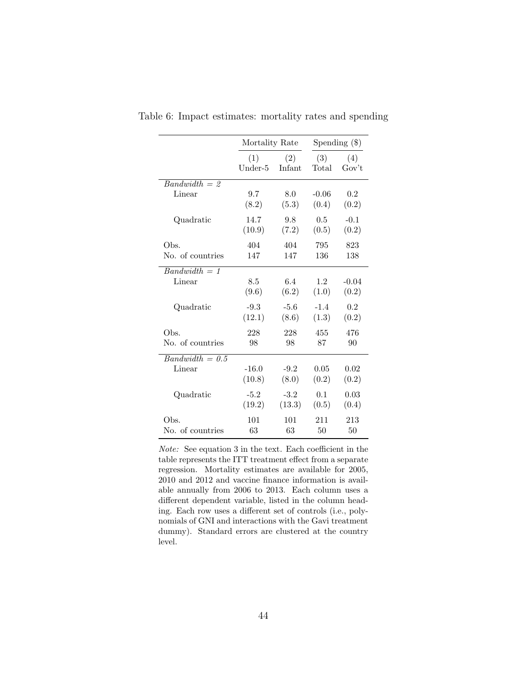|                   | Mortality Rate |        | Spending $(\$)$ |         |  |
|-------------------|----------------|--------|-----------------|---------|--|
|                   | (1)            | (2)    | (3)             | (4)     |  |
|                   | Under-5        | Infant | Total           | Gov't   |  |
| $Bandwidth = 2$   |                |        |                 |         |  |
| Linear            | 9.7            | 8.0    | $-0.06$         | 0.2     |  |
|                   | (8.2)          | (5.3)  | (0.4)           | (0.2)   |  |
| Quadratic         | 14.7           | 9.8    | 0.5             | $-0.1$  |  |
|                   | (10.9)         | (7.2)  | (0.5)           | (0.2)   |  |
| Obs.              | 404            | 404    | 795             | 823     |  |
| No. of countries  | 147            | 147    | 136             | 138     |  |
| $Bandwidth = 1$   |                |        |                 |         |  |
| Linear            | 8.5            | 6.4    | 1.2             | $-0.04$ |  |
|                   | (9.6)          | (6.2)  | (1.0)           | (0.2)   |  |
| Quadratic         | $-9.3$         | $-5.6$ | $-1.4$          | 0.2     |  |
|                   | (12.1)         | (8.6)  | (1.3)           | (0.2)   |  |
| Obs.              | 228            | 228    | 455             | 476     |  |
| No. of countries  | 98             | 98     | 87              | 90      |  |
| $Bandwidth = 0.5$ | $-16.0$        | $-9.2$ | 0.05            | 0.02    |  |
| Linear            | (10.8)         | (8.0)  | (0.2)           | (0.2)   |  |
| Quadratic         | $-5.2$         | $-3.2$ | 0.1             | 0.03    |  |
|                   | (19.2)         | (13.3) | (0.5)           | (0.4)   |  |
| Obs.              | 101            | 101    | 211             | 213     |  |
| No. of countries  | 63             | 63     | 50              | 50      |  |

<span id="page-45-0"></span>Table 6: Impact estimates: mortality rates and spending

Note: See equation 3 in the text. Each coefficient in the table represents the ITT treatment effect from a separate regression. Mortality estimates are available for 2005, 2010 and 2012 and vaccine finance information is available annually from 2006 to 2013. Each column uses a different dependent variable, listed in the column heading. Each row uses a different set of controls (i.e., polynomials of GNI and interactions with the Gavi treatment dummy). Standard errors are clustered at the country level.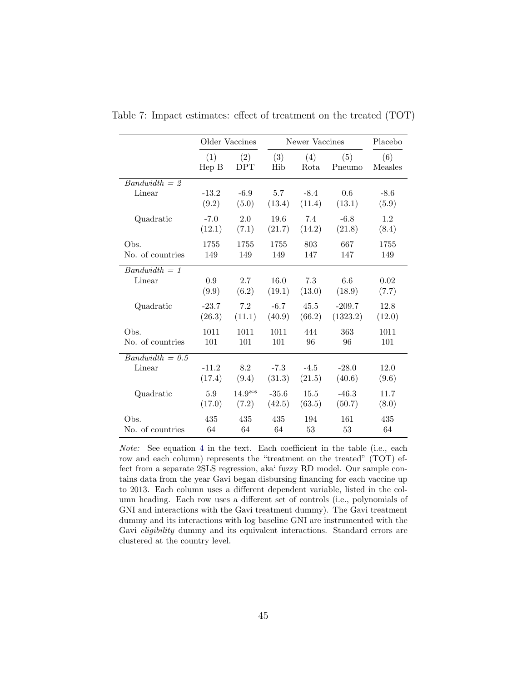|                   |                       | Older Vaccines    |            | Newer Vaccines |               |                |  |
|-------------------|-----------------------|-------------------|------------|----------------|---------------|----------------|--|
|                   | (1)<br>$\text{Hep B}$ | (2)<br><b>DPT</b> | (3)<br>Hib | (4)<br>Rota    | (5)<br>Pneumo | (6)<br>Measles |  |
| $Bandwidth = 2$   |                       |                   |            |                |               |                |  |
| Linear            | $-13.2$               | $-6.9$            | 5.7        | $-8.4$         | 0.6           | $-8.6$         |  |
|                   | (9.2)                 | (5.0)             | (13.4)     | (11.4)         | (13.1)        | (5.9)          |  |
| Quadratic         | $-7.0$                | 2.0               | 19.6       | 7.4            | $-6.8$        | 1.2            |  |
|                   | (12.1)                | (7.1)             | (21.7)     | (14.2)         | (21.8)        | (8.4)          |  |
| Obs.              | 1755                  | 1755              | 1755       | 803            | 667           | 1755           |  |
| No. of countries  | 149                   | 149               | 149        | 147            | 147           | 149            |  |
| $Bandwidth = 1$   |                       |                   |            |                |               |                |  |
| Linear            | 0.9                   | 2.7               | 16.0       | 7.3            | 6.6           | 0.02           |  |
|                   | (9.9)                 | (6.2)             | (19.1)     | (13.0)         | (18.9)        | (7.7)          |  |
| Quadratic         | $-23.7$               | 7.2               | $-6.7$     | 45.5           | $-209.7$      | 12.8           |  |
|                   | (26.3)                | (11.1)            | (40.9)     | (66.2)         | (1323.2)      | (12.0)         |  |
| Obs.              | 1011                  | 1011              | 1011       | 444            | 363           | 1011           |  |
| No. of countries  | 101                   | 101               | 101        | 96             | 96            | 101            |  |
| $Bandwidth = 0.5$ |                       |                   |            |                |               |                |  |
| Linear            | $-11.2$               | 8.2               | $-7.3$     | $-4.5$         | $-28.0$       | 12.0           |  |
|                   | (17.4)                | (9.4)             | (31.3)     | (21.5)         | (40.6)        | (9.6)          |  |
| Quadratic         | 5.9                   | $14.9**$          | $-35.6$    | 15.5           | $-46.3$       | 11.7           |  |
|                   | (17.0)                | (7.2)             | (42.5)     | (63.5)         | (50.7)        | (8.0)          |  |
| Obs.              | 435                   | 435               | 435        | 194            | 161           | 435            |  |
| No. of countries  | 64                    | 64                | 64         | 53             | 53            | 64             |  |

<span id="page-46-0"></span>Table 7: Impact estimates: effect of treatment on the treated (TOT)

Note: See equation [4](#page-15-0) in the text. Each coefficient in the table (i.e., each row and each column) represents the "treatment on the treated" (TOT) effect from a separate 2SLS regression, aka' fuzzy RD model. Our sample contains data from the year Gavi began disbursing financing for each vaccine up to 2013. Each column uses a different dependent variable, listed in the column heading. Each row uses a different set of controls (i.e., polynomials of GNI and interactions with the Gavi treatment dummy). The Gavi treatment dummy and its interactions with log baseline GNI are instrumented with the Gavi *eligibility* dummy and its equivalent interactions. Standard errors are clustered at the country level.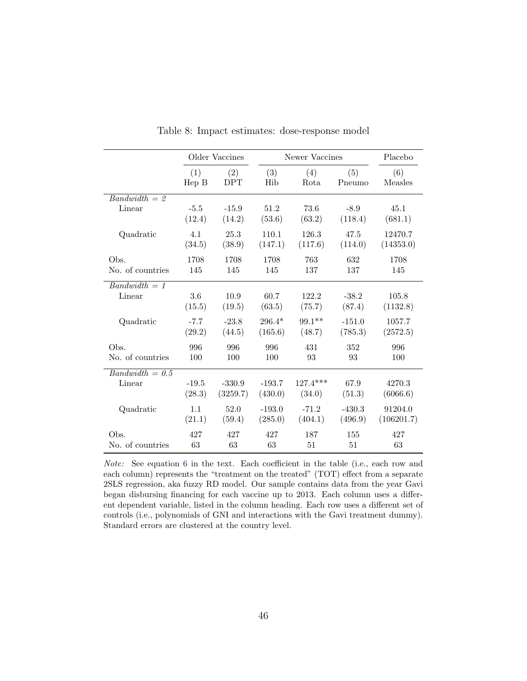<span id="page-47-0"></span>

|                   |         | Older Vaccines |          | Newer Vaccines |          | Placebo    |
|-------------------|---------|----------------|----------|----------------|----------|------------|
|                   | (1)     | (2)            | (3)      | (4)            | (5)      | (6)        |
|                   | Hep B   | DPT            | Hib      | Rota           | Pneumo   | Measles    |
| $Bandwidth = 2$   |         |                |          |                |          |            |
| Linear            | $-5.5$  | $-15.9$        | 51.2     | 73.6           | $-8.9$   | 45.1       |
|                   | (12.4)  | (14.2)         | (53.6)   | (63.2)         | (118.4)  | (681.1)    |
| Quadratic         | 4.1     | 25.3           | 110.1    | 126.3          | 47.5     | 12470.7    |
|                   | (34.5)  | (38.9)         | (147.1)  | (117.6)        | (114.0)  | (14353.0)  |
| Obs.              | 1708    | 1708           | 1708     | 763            | 632      | 1708       |
| No. of countries  | 145     | 145            | 145      | 137            | 137      | 145        |
| $Bandwidth = 1$   |         |                |          |                |          |            |
| Linear            | 3.6     | 10.9           | 60.7     | 122.2          | $-38.2$  | 105.8      |
|                   | (15.5)  | (19.5)         | (63.5)   | (75.7)         | (87.4)   | (1132.8)   |
| Quadratic         | $-7.7$  | $-23.8$        | $296.4*$ | $99.1**$       | $-151.0$ | 1057.7     |
|                   | (29.2)  | (44.5)         | (165.6)  | (48.7)         | (785.3)  | (2572.5)   |
| Obs.              | 996     | 996            | 996      | 431            | 352      | 996        |
| No. of countries  | 100     | 100            | 100      | 93             | 93       | 100        |
| $Bandwidth = 0.5$ |         |                |          |                |          |            |
| Linear            | $-19.5$ | $-330.9$       | $-193.7$ | $127.4***$     | 67.9     | 4270.3     |
|                   | (28.3)  | (3259.7)       | (430.0)  | (34.0)         | (51.3)   | (6066.6)   |
| Quadratic         | 1.1     | 52.0           | $-193.0$ | $-71.2$        | $-430.3$ | 91204.0    |
|                   | (21.1)  | (59.4)         | (285.0)  | (404.1)        | (496.9)  | (106201.7) |
| Obs.              | 427     | 427            | 427      | 187            | 155      | 427        |
| No. of countries  | 63      | 63             | 63       | 51             | 51       | 63         |

Table 8: Impact estimates: dose-response model

Note: See equation [6](#page-16-2) in the text. Each coefficient in the table (i.e., each row and each column) represents the "treatment on the treated" (TOT) effect from a separate 2SLS regression, aka fuzzy RD model. Our sample contains data from the year Gavi began disbursing financing for each vaccine up to 2013. Each column uses a different dependent variable, listed in the column heading. Each row uses a different set of controls (i.e., polynomials of GNI and interactions with the Gavi treatment dummy). Standard errors are clustered at the country level.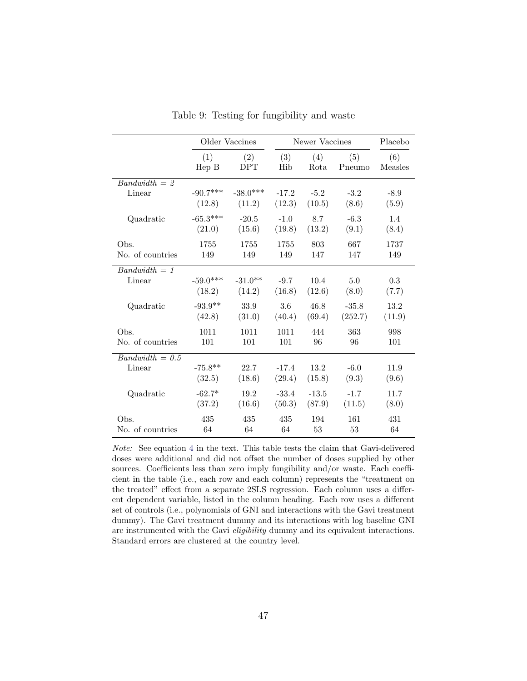<span id="page-48-0"></span>

|                   |            | Older Vaccines |         | Newer Vaccines |         | Placebo |
|-------------------|------------|----------------|---------|----------------|---------|---------|
|                   | (1)        | (2)            | (3)     | (4)            | (5)     | (6)     |
|                   | Hep B      | <b>DPT</b>     | Hib     | Rota           | Pneumo  | Measles |
| $Bandwidth = 2$   | $-90.7***$ | $-38.0***$     | $-17.2$ | $-5.2$         | $-3.2$  | $-8.9$  |
| Linear            | (12.8)     | (11.2)         | (12.3)  | (10.5)         | (8.6)   | (5.9)   |
| Quadratic         | $-65.3***$ | $-20.5$        | $-1.0$  | 8.7            | $-6.3$  | 1.4     |
|                   | (21.0)     | (15.6)         | (19.8)  | (13.2)         | (9.1)   | (8.4)   |
| Obs.              | 1755       | 1755           | 1755    | 803            | 667     | 1737    |
| No. of countries  | 149        | 149            | 149     | 147            | 147     | 149     |
| $Bandwidth = 1$   | $-59.0***$ | $-31.0**$      | $-9.7$  | 10.4           | 5.0     | 0.3     |
| Linear            | (18.2)     | (14.2)         | (16.8)  | (12.6)         | (8.0)   | (7.7)   |
| Quadratic         | $-93.9**$  | 33.9           | 3.6     | 46.8           | $-35.8$ | 13.2    |
|                   | (42.8)     | (31.0)         | (40.4)  | (69.4)         | (252.7) | (11.9)  |
| Obs.              | 1011       | 1011           | 1011    | 444            | 363     | 998     |
| No. of countries  | 101        | 101            | 101     | 96             | 96      | 101     |
| $Bandwidth = 0.5$ | $-75.8**$  | 22.7           | $-17.4$ | 13.2           | $-6.0$  | 11.9    |
| Linear            | (32.5)     | (18.6)         | (29.4)  | (15.8)         | (9.3)   | (9.6)   |
| Quadratic         | $-62.7*$   | 19.2           | $-33.4$ | $-13.5$        | $-1.7$  | 11.7    |
|                   | (37.2)     | (16.6)         | (50.3)  | (87.9)         | (11.5)  | (8.0)   |
| Obs.              | 435        | 435            | 435     | 194            | 161     | 431     |
| No. of countries  | 64         | 64             | 64      | 53             | 53      | 64      |

Table 9: Testing for fungibility and waste

Note: See equation [4](#page-15-0) in the text. This table tests the claim that Gavi-delivered doses were additional and did not offset the number of doses supplied by other sources. Coefficients less than zero imply fungibility and/or waste. Each coefficient in the table (i.e., each row and each column) represents the "treatment on the treated" effect from a separate 2SLS regression. Each column uses a different dependent variable, listed in the column heading. Each row uses a different set of controls (i.e., polynomials of GNI and interactions with the Gavi treatment dummy). The Gavi treatment dummy and its interactions with log baseline GNI are instrumented with the Gavi eligibility dummy and its equivalent interactions. Standard errors are clustered at the country level.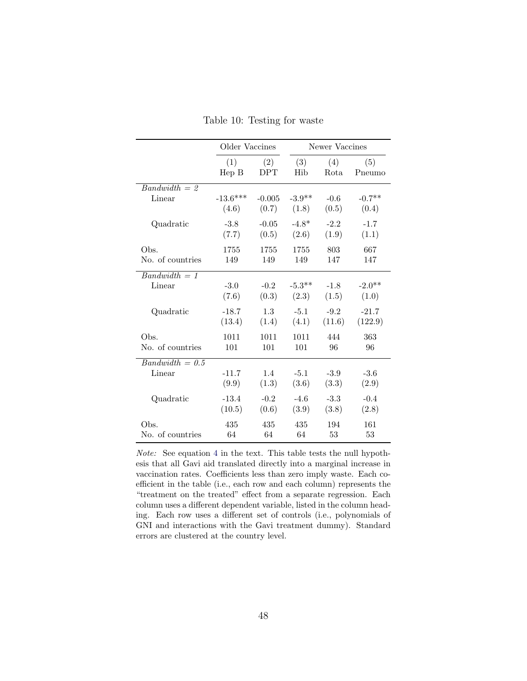<span id="page-49-0"></span>

|                   | Older Vaccines |                   |            | Newer Vaccines |               |  |  |
|-------------------|----------------|-------------------|------------|----------------|---------------|--|--|
|                   | (1)<br>Hep B   | (2)<br><b>DPT</b> | (3)<br>Hib | (4)<br>Rota    | (5)<br>Pneumo |  |  |
| $Bandwidth = 2$   |                |                   |            |                |               |  |  |
| Linear            | $-13.6***$     | $-0.005$          | $-3.9**$   | $-0.6$         | $-0.7**$      |  |  |
|                   | (4.6)          | (0.7)             | (1.8)      | (0.5)          | (0.4)         |  |  |
| Quadratic         | $-3.8$         | $-0.05$           | $-4.8*$    | $-2.2$         | $-1.7$        |  |  |
|                   | (7.7)          | (0.5)             | (2.6)      | (1.9)          | (1.1)         |  |  |
| Obs.              | 1755           | 1755              | 1755       | 803            | 667           |  |  |
| No. of countries  | 149            | 149               | 149        | 147            | 147           |  |  |
| $Bandwidth = 1$   |                |                   |            |                |               |  |  |
| Linear            | $-3.0$         | $-0.2$            | $-5.3**$   | $-1.8$         | $-2.0**$      |  |  |
|                   | (7.6)          | (0.3)             | (2.3)      | (1.5)          | (1.0)         |  |  |
| Quadratic         | $-18.7$        | 1.3               | $-5.1$     | $-9.2$         | $-21.7$       |  |  |
|                   | (13.4)         | (1.4)             | (4.1)      | (11.6)         | (122.9)       |  |  |
| Obs.              | 1011           | 1011              | 1011       | 444            | 363           |  |  |
| No. of countries  | 101            | 101               | 101        | 96             | 96            |  |  |
| $Bandwidth = 0.5$ |                |                   |            |                |               |  |  |
| Linear            | $-11.7$        | 1.4               | $-5.1$     | $-3.9$         | $-3.6$        |  |  |
|                   | (9.9)          | (1.3)             | (3.6)      | (3.3)          | (2.9)         |  |  |
| Quadratic         | $-13.4$        | $-0.2$            | $-4.6$     | $-3.3$         | $-0.4$        |  |  |
|                   | (10.5)         | (0.6)             | (3.9)      | (3.8)          | (2.8)         |  |  |
| Obs.              | 435            | 435               | 435        | 194            | 161           |  |  |
| No. of countries  | 64             | 64                | 64         | 53             | 53            |  |  |

Table 10: Testing for waste

Note: See equation [4](#page-15-0) in the text. This table tests the null hypothesis that all Gavi aid translated directly into a marginal increase in vaccination rates. Coefficients less than zero imply waste. Each coefficient in the table (i.e., each row and each column) represents the "treatment on the treated" effect from a separate regression. Each column uses a different dependent variable, listed in the column heading. Each row uses a different set of controls (i.e., polynomials of GNI and interactions with the Gavi treatment dummy). Standard errors are clustered at the country level.